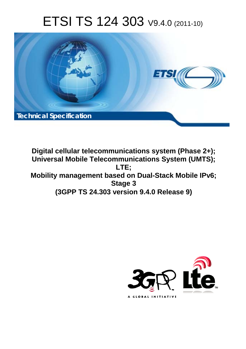# ETSI TS 124 303 V9.4.0 (2011-10)



**Digital cellular telecommunications system (Phase 2+); Universal Mobile Telecommunications System (UMTS); LTE; Mobility management based on Dual-Stack Mobile IPv6; Stage 3 (3GPP TS 24.303 version 9.4.0 Release 9)** 

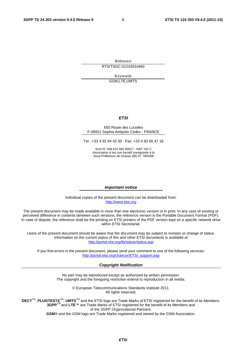Reference RTS/TSGC-0124303v940

> Keywords GSM,LTE,UMTS

#### *ETSI*

#### 650 Route des Lucioles F-06921 Sophia Antipolis Cedex - FRANCE

Tel.: +33 4 92 94 42 00 Fax: +33 4 93 65 47 16

Siret N° 348 623 562 00017 - NAF 742 C Association à but non lucratif enregistrée à la Sous-Préfecture de Grasse (06) N° 7803/88

#### *Important notice*

Individual copies of the present document can be downloaded from: [http://www.etsi.org](http://www.etsi.org/)

The present document may be made available in more than one electronic version or in print. In any case of existing or perceived difference in contents between such versions, the reference version is the Portable Document Format (PDF). In case of dispute, the reference shall be the printing on ETSI printers of the PDF version kept on a specific network drive within ETSI Secretariat.

Users of the present document should be aware that the document may be subject to revision or change of status. Information on the current status of this and other ETSI documents is available at <http://portal.etsi.org/tb/status/status.asp>

If you find errors in the present document, please send your comment to one of the following services: [http://portal.etsi.org/chaircor/ETSI\\_support.asp](http://portal.etsi.org/chaircor/ETSI_support.asp)

#### *Copyright Notification*

No part may be reproduced except as authorized by written permission. The copyright and the foregoing restriction extend to reproduction in all media.

> © European Telecommunications Standards Institute 2011. All rights reserved.

**DECT**TM, **PLUGTESTS**TM, **UMTS**TM and the ETSI logo are Trade Marks of ETSI registered for the benefit of its Members. **3GPP**TM and **LTE**™ are Trade Marks of ETSI registered for the benefit of its Members and of the 3GPP Organizational Partners.

**GSM**® and the GSM logo are Trade Marks registered and owned by the GSM Association.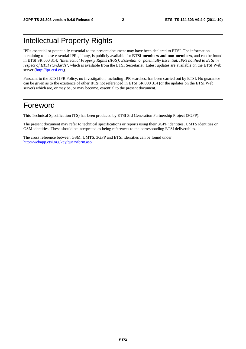### Intellectual Property Rights

IPRs essential or potentially essential to the present document may have been declared to ETSI. The information pertaining to these essential IPRs, if any, is publicly available for **ETSI members and non-members**, and can be found in ETSI SR 000 314: *"Intellectual Property Rights (IPRs); Essential, or potentially Essential, IPRs notified to ETSI in respect of ETSI standards"*, which is available from the ETSI Secretariat. Latest updates are available on the ETSI Web server ([http://ipr.etsi.org\)](http://webapp.etsi.org/IPR/home.asp).

Pursuant to the ETSI IPR Policy, no investigation, including IPR searches, has been carried out by ETSI. No guarantee can be given as to the existence of other IPRs not referenced in ETSI SR 000 314 (or the updates on the ETSI Web server) which are, or may be, or may become, essential to the present document.

### Foreword

This Technical Specification (TS) has been produced by ETSI 3rd Generation Partnership Project (3GPP).

The present document may refer to technical specifications or reports using their 3GPP identities, UMTS identities or GSM identities. These should be interpreted as being references to the corresponding ETSI deliverables.

The cross reference between GSM, UMTS, 3GPP and ETSI identities can be found under [http://webapp.etsi.org/key/queryform.asp.](http://webapp.etsi.org/key/queryform.asp)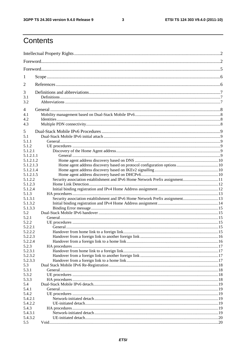$\mathbf{3}$ 

### Contents

| 1                      |                                                                              |  |
|------------------------|------------------------------------------------------------------------------|--|
| 2                      |                                                                              |  |
| 3                      |                                                                              |  |
| 3.1                    |                                                                              |  |
| 3.2                    |                                                                              |  |
| 4                      |                                                                              |  |
| 4.1                    |                                                                              |  |
| 4.2                    |                                                                              |  |
| 4.3                    |                                                                              |  |
| 5                      |                                                                              |  |
| 5.1                    |                                                                              |  |
| 5.1.1                  |                                                                              |  |
| 5.1.2                  |                                                                              |  |
| 5.1.2.1                |                                                                              |  |
| 5.1.2.1.1              |                                                                              |  |
| 5.1.2.1.2              |                                                                              |  |
| 5.1.2.1.3<br>5.1.2.1.4 |                                                                              |  |
| 5.1.2.1.5              |                                                                              |  |
| 5.1.2.2                |                                                                              |  |
| 5.1.2.3                |                                                                              |  |
| 5.1.2.4                |                                                                              |  |
| 5.1.3                  |                                                                              |  |
| 5.1.3.1                | Security association establishment and IPv6 Home Network Prefix assignment13 |  |
| 5.1.3.2                |                                                                              |  |
| 5.1.3.3                |                                                                              |  |
| 5.2                    |                                                                              |  |
| 5.2.1<br>5.2.2         |                                                                              |  |
| 5.2.2.1                |                                                                              |  |
| 5.2.2.2                |                                                                              |  |
| 5.2.2.3                |                                                                              |  |
| 5.2.2.4                |                                                                              |  |
| 5.2.3                  |                                                                              |  |
| 5.2.3.1                |                                                                              |  |
| 5.2.3.2                |                                                                              |  |
| 5.2.3.3                |                                                                              |  |
| 5.3                    |                                                                              |  |
| 5.3.1<br>5.3.2         |                                                                              |  |
| 5.3.3                  |                                                                              |  |
| 5.4                    |                                                                              |  |
| 5.4.1                  |                                                                              |  |
| 5.4.2                  |                                                                              |  |
| 5.4.2.1                |                                                                              |  |
| 5.4.2.2                |                                                                              |  |
| 5.4.3                  |                                                                              |  |
| 5.4.3.1                |                                                                              |  |
| 5.4.3.2                |                                                                              |  |
| 5.5                    |                                                                              |  |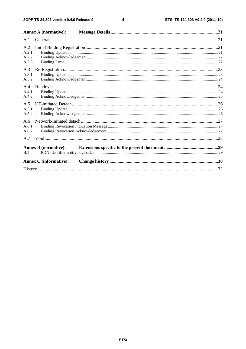$\overline{\mathbf{4}}$ 

|                                | <b>Annex A (normative):</b>   |  |
|--------------------------------|-------------------------------|--|
| A.1                            |                               |  |
| A.2<br>A.2.1<br>A.2.2<br>A.2.3 |                               |  |
| A.3<br>A.3.1<br>A.3.2          |                               |  |
| A.4<br>A.4.1<br>A.4.2          |                               |  |
| A.5<br>A.5.1<br>A.5.2          |                               |  |
| A.6<br>A.6.1<br>A.6.2          |                               |  |
| A.7                            |                               |  |
| B.1                            | <b>Annex B (normative):</b>   |  |
|                                | <b>Annex C</b> (informative): |  |
|                                |                               |  |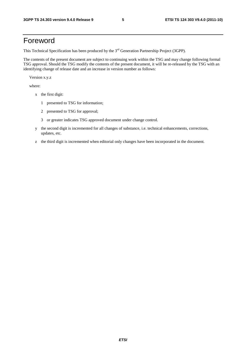### Foreword

This Technical Specification has been produced by the 3<sup>rd</sup> Generation Partnership Project (3GPP).

The contents of the present document are subject to continuing work within the TSG and may change following formal TSG approval. Should the TSG modify the contents of the present document, it will be re-released by the TSG with an identifying change of release date and an increase in version number as follows:

Version x.y.z

where:

- x the first digit:
	- 1 presented to TSG for information;
	- 2 presented to TSG for approval;
	- 3 or greater indicates TSG approved document under change control.
- y the second digit is incremented for all changes of substance, i.e. technical enhancements, corrections, updates, etc.
- z the third digit is incremented when editorial only changes have been incorporated in the document.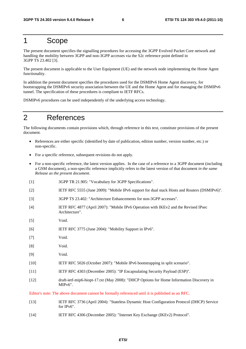### 1 Scope

The present document specifies the signalling procedures for accessing the 3GPP Evolved Packet Core network and handling the mobility between 3GPP and non-3GPP accesses via the S2c reference point defined in 3GPP TS 23.402 [3].

The present document is applicable to the User Equipment (UE) and the network node implementing the Home Agent functionality.

In addition the present document specifies the procedures used for the DSMIPv6 Home Agent discovery, for bootstrapping the DSMIPv6 security association between the UE and the Home Agent and for managing the DSMIPv6 tunnel. The specification of these procedures is compliant to IETF RFCs.

DSMIPv6 procedures can be used independently of the underlying access technology.

### 2 References

The following documents contain provisions which, through reference in this text, constitute provisions of the present document.

- References are either specific (identified by date of publication, edition number, version number, etc.) or non-specific.
- For a specific reference, subsequent revisions do not apply.
- For a non-specific reference, the latest version applies. In the case of a reference to a 3GPP document (including a GSM document), a non-specific reference implicitly refers to the latest version of that document *in the same Release as the present document*.
- [1] 3GPP TR 21.905: "Vocabulary for 3GPP Specifications".
- [2] IETF RFC 5555 (June 2009): "Mobile IPv6 support for dual stack Hosts and Routers (DSMIPv6)".
- [3] 3GPP TS 23.402: "Architecture Enhancements for non-3GPP accesses".
- [4] IETF RFC 4877 (April 2007): "Mobile IPv6 Operation with IKEv2 and the Revised IPsec Architecture".
- [5] Void.
- [6] IETF RFC 3775 (June 2004): "Mobility Support in IPv6".
- [7] Void.
- [8] Void.
- [9] Void.
- [10] IETF RFC 5026 (October 2007): "Mobile IPv6 bootstrapping in split scenario".
- [11] IETF RFC 4303 (December 2005): "IP Encapsulating Security Payload (ESP)".
- [12] draft-ietf-mip6-hiopt-17.txt (May 2008): "DHCP Options for Home Information Discovery in MIPv6".

Editor's note: The above document cannot be formally referenced until it is published as an RFC.

- [13] IETF RFC 3736 (April 2004): "Stateless Dynamic Host Configuration Protocol (DHCP) Service for IPv6".
- [14] IETF RFC 4306 (December 2005): "Internet Key Exchange (IKEv2) Protocol".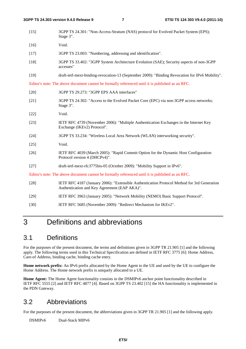| $[15]$ | 3GPP TS 24.301: "Non-Access-Stratum (NAS) protocol for Evolved Packet System (EPS);<br>Stage 3".                                            |
|--------|---------------------------------------------------------------------------------------------------------------------------------------------|
| $[16]$ | Void.                                                                                                                                       |
| $[17]$ | 3GPP TS 23.003: "Numbering, addressing and identification".                                                                                 |
| $[18]$ | 3GPP TS 33.402: "3GPP System Architecture Evolution (SAE); Security aspects of non-3GPP<br>accesses"                                        |
| $[19]$ | draft-ietf-mext-binding-revocation-13 (September 2009): "Binding Revocation for IPv6 Mobility".                                             |
|        | Editor's note: The above document cannot be formally referenced until it is published as an RFC.                                            |
| $[20]$ | 3GPP TS 29.273: "3GPP EPS AAA interfaces"                                                                                                   |
| $[21]$ | 3GPP TS 24.302: "Access to the Evolved Packet Core (EPC) via non-3GPP access networks;<br>Stage 3".                                         |
| $[22]$ | Void.                                                                                                                                       |
| $[23]$ | IETF RFC 4739 (November 2006): "Multiple Authentication Exchanges in the Internet Key<br>Exchange (IKEv2) Protocol".                        |
| $[24]$ | 3GPP TS 33.234: "Wireless Local Area Network (WLAN) interworking security".                                                                 |
| $[25]$ | Void.                                                                                                                                       |
| $[26]$ | IETF RFC 4039 (March 2005): "Rapid Commit Option for the Dynamic Host Configuration<br>Protocol version 4 (DHCPv4)".                        |
| $[27]$ | draft-ietf-mext-rfc3775bis-05 (October 2009): "Mobility Support in IPv6".                                                                   |
|        | Editor's note: The above document cannot be formally referenced until it is published as an RFC.                                            |
| $[28]$ | IETF RFC 4187 (January 2006): "Extensible Authentication Protocol Method for 3rd Generation<br>Authentication and Key Agreement (EAP AKA)". |
| $[29]$ | IETF RFC 3963 (January 2005): "Network Mobility (NEMO) Basic Support Protocol".                                                             |
|        |                                                                                                                                             |

[30] IETF RFC 5685 (November 2009): "Redirect Mechanism for IKEv2".

### 3 Definitions and abbreviations

### 3.1 Definitions

For the purposes of the present document, the terms and definitions given in 3GPP TR 21.905 [1] and the following apply. The following terms used in this Technical Specification are defined in IETF RFC 3775 [6]: Home Address, Care-of Address, binding cache, binding cache entry.

**Home network prefix:** An IPv6 prefix allocated by the Home Agent to the UE and used by the UE to configure the Home Address. The Home network prefix is uniquely allocated to a UE.

**Home Agent:** The Home Agent functionality consists in the DSMIPv6 anchor point functionality described in IETF RFC 5555 [2] and IETF RFC 4877 [4]. Based on 3GPP TS 23.402 [15] the HA functionality is implemented in the PDN Gateway.

### 3.2 Abbreviations

For the purposes of the present document, the abbreviations given in 3GPP TR 21.905 [1] and the following apply.

DSMIPv6 Dual-Stack MIPv6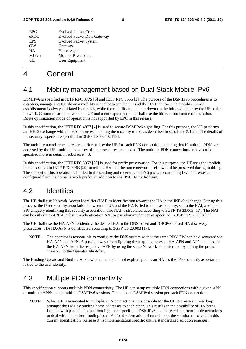| <b>EPC</b>         | <b>Evolved Packet Core</b>         |
|--------------------|------------------------------------|
| ePDG               | <b>Evolved Packet Data Gateway</b> |
| <b>EPS</b>         | <b>Evolved Packet System</b>       |
| <b>GW</b>          | Gateway                            |
| <b>HA</b>          | Home Agent                         |
| MIP <sub>v</sub> 6 | Mobile IP version 6                |
| UE                 | User Equipment                     |
|                    |                                    |

### 4 General

### 4.1 Mobility management based on Dual-Stack Mobile IPv6

DSMIPv6 is specified in IETF RFC 3775 [6] and IETF RFC 5555 [2]. The purpose of the DSMIPv6 procedures is to establish, manage and tear down a mobility tunnel between the UE and the HA function. The mobility tunnel establishment is always initiated by the UE, while the mobility tunnel tear down can be initiated either by the UE or the network. Communication between the UE and a correspondent node shall use the bidirectional mode of operation. Route optimization mode of operation is not supported by EPC in this release.

In this specification, the IETF RFC 4877 [4] is used to secure DSMIPv6 signalling. For this purpose, the UE performs an IKEv2 exchange with the HA before establishing the mobility tunnel as described in subclause 5.1.2.2. The details of the security aspects are specified in 3GPP TS 33.402 [18].

The mobility tunnel procedures are performed by the UE for each PDN connection, meaning that if multiple PDNs are accessed by the UE, multiple instances of the procedures are needed. The multiple PDN connections behaviour is specified more in detail in subclause 4.3.

In this specification, the IETF RFC 3963 [29] is used for prefix preservation. For this purpose, the UE uses the implicit mode as stated in IETF RFC 3963 [29] to tell the HA that the home network prefix would be preserved during mobility. The support of this operation is limited to the sending and receiving of IPv6 packets containing IPv6 addresses autoconfigured from the home network prefix, in addition to the IPv6 Home Address.

### 4.2 Identities

The UE shall use Network Access Identifier (NAI) as identification towards the HA in the IKEv2 exchange. During this process, the IPsec security association between the UE and the HA is tied to the user identity, set to the NAI, and to an SPI uniquely identifying this security association. The NAI is structured according to 3GPP TS 23.003 [17]. The NAI can be either a root NAI, a fast re-authentication NAI or pseudonym identity as specified in 3GPP TS 23.003 [17].

The UE shall use the HA-APN to identify the desired HA in the DNS-based and DHCPv6-based HA discovery procedures. The HA-APN is constructed according to 3GPP TS 23.003 [17].

NOTE: The operator is responsible to configure the DNS system so that the same PDN GW can be discovered via HA-APN and APN. A possible way of configuring the mapping between HA-APN and APN is to create the HA-APN from the respective APN by using the same Network Identifier and by adding the prefix "ha-apn" to the Operator Identifier.

The Binding Update and Binding Acknowledgement shall not explicitly carry an NAI as the IPsec security association is tied to the user identity.

### 4.3 Multiple PDN connectivity

This specification supports multiple PDN connectivity. The UE can setup multiple PDN connections with a given APN or multiple APNs using multiple DSMIPv6 sessions. There is one DSMIPv6 session per each PDN connection.

NOTE: When UE is associated to multiple PDN connections, it is possible for the UE to create a tunnel loop amongst the HAs by binding home addresses to each other. This results in the possibility of HA being flooded with packets. Packet flooding is not specific to DSMIPv6 and there exist current implementations to deal with the packet flooding issue. As for the formation of tunnel loop, the solution to solve it in this current specification (Release 9) is implementation specific until a standardized solution emerges.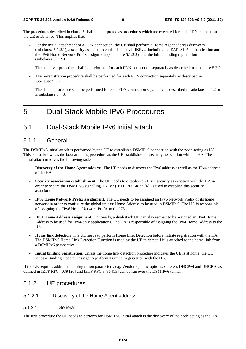The procedures described in clause 5 shall be interpreted as procedures which are executed for each PDN connection the UE established. This implies that:

- For the initial attachment of a PDN connection, the UE shall perform a Home Agent address discovery (subclause 5.1.2.1), a security association establishment via IKEv2, including the EAP-AKA authentication and the IPv6 Home Network Prefix assignment (subclause 5.1.2.2), and the initial binding registration (subclause 5.1.2.4).
- The handover procedure shall be performed for each PDN connection separately as described in subclause 5.2.2.
- The re-registration procedure shall be performed for each PDN connection separately as described in subclause 5.3.2.
- The detach procedure shall be performed for each PDN connection separately as described in subclause 5.4.2 or in subclause 5.4.3.

### 5 Dual-Stack Mobile IPv6 Procedures

### 5.1 Dual-Stack Mobile IPv6 initial attach

#### 5.1.1 General

The DSMIPv6 initial attach is performed by the UE to establish a DSMIPv6 connection with the node acting as HA. This is also known as the bootstrapping procedure as the UE establishes the security association with the HA. The initial attach involves the following tasks:

- **Discovery of the Home Agent address**. The UE needs to discover the IPv6 address as well as the IPv4 address of the HA.
- **Security association establishment**. The UE needs to establish an IPsec security association with the HA in order to secure the DSMIPv6 signalling. IKEv2 (IETF RFC 4877 [4]) is used to establish this security association.
- **IPv6 Home Network Prefix assignment**. The UE needs to be assigned an IPv6 Network Prefix of its home network in order to configure the global unicast Home Address to be used in DSMIPv6. The HA is responsible of assigning the IPv6 Home Network Prefix to the UE.
- **IPv4 Home Address assignment**. Optionally, a dual-stack UE can also request to be assigned an IPv4 Home Address to be used for IPv4-only applications. The HA is responsible of assigning the IPv4 Home Address to the UE.
- **Home link detection**. The UE needs to perform Home Link Detection before initiate registration with the HA. The DSMIPv6 Home Link Detection Function is used by the UE to detect if it is attached to the home link from a DSMIPv6 perspective.
- **Initial binding registration**. Unless the home link detection procedure indicates the UE is at home, the UE sends a Binding Update message to perform its initial registration with the HA.

If the UE requires additional configuration parameters, e.g. Vendor-specific options, stateless DHCPv4 and DHCPv6 as defined in IETF RFC 4039 [26] and IETF RFC 3736 [13] can be run over the DSMIPv6 tunnel.

#### 5.1.2 UE procedures

#### 5.1.2.1 Discovery of the Home Agent address

#### 5.1.2.1.1 General

The first procedure the UE needs to perform for DSMIPv6 initial attach is the discovery of the node acting as the HA.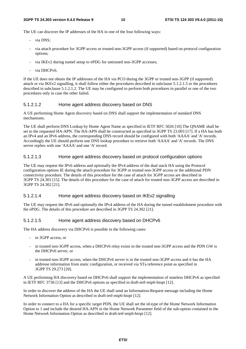The UE can discover the IP addresses of the HA in one of the four following ways:

- via DNS:
- via attach procedure for 3GPP access or trusted non-3GPP access (if supported) based on protocol configuration options;
- via IKEv2 during tunnel setup to ePDG for untrusted non-3GPP accesses;
- via DHCPv6.

If the UE does not obtain the IP addresses of the HA via PCO during the 3GPP or trusted non-3GPP (if supported) attach or via IKEv2 signalling, it shall follow either the procedures described in subclause 5.1.2.1.5 or the procedures described in subclause 5.1.2.1.2. The UE may be configured to perform both procedures in parallel or one of the two procedures only in case the other failed.

#### 5.1.2.1.2 Home agent address discovery based on DNS

A UE performing Home Agent discovery based on DNS shall support the implementation of standard DNS mechanisms.

The UE shall perform DNS Lookup by Home Agent Name as specified in IETF RFC 5026 [10].The QNAME shall be set to the requested HA-APN. The HA-APN shall be constructed as specified in 3GPP TS 23.003 [17]. If a HA has both an IPv4 and an IPv6 address, the corresponding DNS record should be configured with both 'AAAA' and 'A' records. Accordingly the UE should perform one DNS lookup procedure to retrieve both 'AAAA' and 'A' records. The DNS server replies with one 'AAAA' and one 'A' record.

#### 5.1.2.1.3 Home agent address discovery based on protocol configuration options

The UE may request the IPv6 address and optionally the IPv4 address of the dual stack HA using the Protocol configuration options IE during the attach procedure for 3GPP or trusted non-3GPP access or the additional PDN connectivity procedure. The details of this procedure for the case of attach for 3GPP access are described in 3GPP TS 24.301 [15]. The details of this procedure for the case of attach for trusted non-3GPP access are described in 3GPP TS 24.302 [21].

#### 5.1.2.1.4 Home agent address discovery based on IKEv2 signalling

The UE may request the IPv6 and optionally the IPv4 address of the HA during the tunnel establishment procedure with the ePDG. The details of this procedure are described in 3GPP TS 24.302 [21].

#### 5.1.2.1.5 Home agent address discovery based on DHCPv6

The HA address discovery via DHCPv6 is possible in the following cases:

- in 3GPP access, or
- in trusted non-3GPP access, when a DHCPv6 relay exists in the trusted non-3GPP access and the PDN GW is the DHCPv6 server, or
- in trusted non-3GPP access, when the DHCPv6 server is in the trusted non-3GPP access and it has the HA addresse information from static configuration, or received via STa reference point as specified in 3GPP TS 29.273 [20].

A UE performing HA discovery based on DHCPv6 shall support the implementation of stateless DHCPv6 as specified in IETF RFC 3736 [13] and the DHCPv6 options as specified in draft-ietf-mip6-hiopt [12].

In order to discover the address of the HA the UE shall send an Information-Request message including the Home Network Information Option as described in draft-ietf-mip6-hiopt [12].

In order to connect to a HA for a specific target PDN, the UE shall set the id-type of the Home Network Information Option to 1 and include the desired HA-APN in the Home Network Parameter field of the sub-option contained in the Home Network Information Option as described in draft-ietf-mip6-hiopt [12].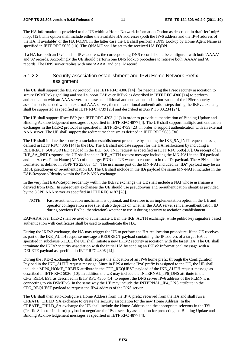The HA information is provided to the UE within a Home Network Information Option as described in draft-ietf-mip6 hiopt [12]. This option shall include either the available HA addresses (both the IPv6 address and the IPv4 address of the HA, if available) or the HA FQDN. In the latter case the UE shall perform a DNS Lookup by Home Agent Name as specified in IETF RFC 5026 [10]. The QNAME shall be set to the received HA FQDN.

If a HA has both an IPv4 and an IPv6 address, the corresponding DNS record should be configured with both 'AAAA' and 'A' records. Accordingly the UE should perform one DNS lookup procedure to retrieve both 'AAAA' and 'A' records. The DNS server replies with one 'AAAA' and one 'A' record.

#### 5.1.2.2 Security association establishment and IPv6 Home Network Prefix assignment

The UE shall support the IKEv2 protocol (see IETF RFC 4306 [14]) for negotiating the IPsec security association to secure DSMIPv6 signalling and shall support EAP over IKEv2 as described in IETF RFC 4306 [14] to perform authentication with an AAA server. In a case an additional authentication and authorization of the IPSec security association is needed with an external AAA server, then the additional authentication steps during the IKEv2 exchange shall be supported as specified in IETF RFC 4739 [23] and described in 3GPP TS 33.234 [24].

The UE shall support IPsec ESP (see IETF RFC 4303 [11]) in order to provide authentication of Binding Update and Binding Acknowledgement messages as specified in IETF RFC 4877 [4]. The UE shall support multiple authentication exchanges in the IKEv2 protocol as specified in IETF RFC 4739 [23] in order to support authentication with an external AAA server. The UE shall support the redirect mechanism as defined in IETF RFC 5685 [30].

The UE shall initiate the security association establishment procedure by sending the IKE\_SA\_INIT request message defined in IETF RFC 4306 [14] to the HA. The UE shall indicate support for the HA reallocation by including a REDIRECT\_SUPPORTED payload in the IKE\_SA\_INIT request as specified in IETF RFC 5685[30]. On receipt of an IKE\_SA\_INIT response, the UE shall send an IKE\_AUTH request message including the MN-NAI in the IDi payload and the Access Point Name (APN) of the target PDN the UE wants to connect to in the IDr payload. The APN shall be formatted as defined in 3GPP TS 23.003 [17]. The username part of the MN-NAI included in "IDi" payload may be an IMSI, pseudonym or re-authentication ID. The UE shall include in the IDi payload the same MN-NAI it includes in the EAP-Response/Identity within the EAP-AKA exchange.

In the very first EAP-Response/Identity within the IKEv2 exchange the UE shall include a NAI whose username is derived from IMSI. In subsequent exchanges the UE should use pseudonyms and re-authentication identities provided by the 3GPP AAA server as specified in IETF RFC 4187 [28].

NOTE: Fast re-authentication mechanism is optional, and therefore is an implementation option in the UE and operator configuration issue (i.e. it also depends on whether the AAA server sent a re-authentication ID during previous EAP authentication) whether to use it during security association establishment.

EAP-AKA over IKEv2 shall be used to authenticate UE in the IKE\_AUTH exchange, while public key signature based authentication with certificates shall be used to authenticate the HA.

During the IKEv2 exchange, the HA may trigger the UE to perform the HA reallocation procedure. If the UE receives as part of the IKE\_AUTH response message a REDIRECT payload containing the IP address of a target HA as specified in subclause 5.1.3.1, the UE shall initiate a new IKEv2 security association with the target HA. The UE shall terminate the IKEv2 security association with the initial HA by sending an IKEv2 Informational message with a DELETE payload as specified in IETF RFC 4306 [14].

During the IKEv2 exchange, the UE shall request the allocation of an IPv6 home prefix through the Configuration Payload in the IKE\_AUTH request message. Since in EPS a unique IPv6 prefix is assigned to the UE, the UE shall include a MIP6\_HOME\_PREFIX attribute in the CFG\_REQUEST payload of the IKE\_AUTH request message as described in IETF RFC 5026 [10]. In addition the UE may include the INTERNAL\_IP6\_DNS attribute in the CFG\_REQUEST as described in IETF RFC 4306 [14] to request the DNS server IPv6 address of the PLMN it is connecting to via DSMIPv6. In the same way the UE may include the INTERNAL\_IP4\_DNS attribute in the CFG\_REQUEST payload to request the IPv4 address of the DNS server.

The UE shall then auto-configure a Home Address from the IPv6 prefix received from the HA and shall run a CREATE\_CHILD\_SA exchange to create the security association for the new Home Address. In the CREATE\_CHILD\_SA exchange the UE shall include the Home Address and the appropriate selectors in the TSi (Traffic Selector-initiator) payload to negotiate the IPsec security association for protecting the Binding Update and Binding Acknowledgement messages as specified in IETF RFC 4877 [4].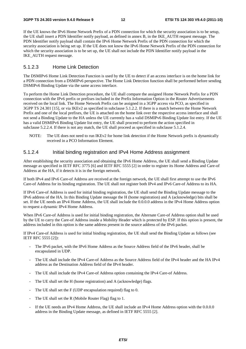If the UE knows the IPv6 Home Network Prefix of a PDN connection for which the security association is to be setup, the UE shall insert a PDN Identifier notify payload, as defined in annex B, in the IKE\_AUTH request message. The PDN Identifier notify payload shall contain the IPv6 Home Network Prefix of the PDN connection for which the security association is being set up. If the UE does not know the IPv6 Home Network Prefix of the PDN connection for which the security association is to be set up, the UE shall not include the PDN Identifier notify payload in the IKE\_AUTH request message.

#### 5.1.2.3 Home Link Detection

The DSMIPv6 Home Link Detection Function is used by the UE to detect if an access interface is on the home link for a PDN connection from a DSMIPv6 perspective. The Home Link Detection function shall be performed before sending DSMIPv6 Binding Update via the same access interface.

To perform the Home Link Detection procedure, the UE shall compare the assigned Home Network Prefix for a PDN connection with the IPv6 prefix or prefixes included in the Prefix Information Option in the Router Advertisements received on the local link. The Home Network Prefix can be assigned in a 3GPP access via PCO, as specified in 3GPP TS 24.301 [15], or via IKEv2 as specified in subclause 5.1.2.2. If there is a match between the Home Network Prefix and one of the local prefixes, the UE is attached on the home link over the respective access interface and shall not send a Binding Update to the HA unless the UE currently has a valid DSMIPv6 Binding Update list entry. If the UE has a valid DSMIPv6 Binding Update list entry, the UE shall proceed to perform the action specified in subclause 5.2.2.4. If there is not any match, the UE shall proceed as specified in subclause 5.1.2.4.

NOTE: The UE does not need to run IKEv2 for home link detection if the Home Network prefix is dynamically received in a PCO Information Element.

#### 5.1.2.4 Initial binding registration and IPv4 Home Address assignment

After establishing the security association and obtaining the IPv6 Home Address, the UE shall send a Binding Update message as specified in IETF RFC 3775 [6] and IETF RFC 5555 [2] in order to register its Home Address and Care-of Address at the HA, if it detects it is in the foreign network.

If both IPv4 and IPv6 Care-of Address are received at the foreign network, the UE shall first attempt to use the IPv6 Care-of Address for its binding registration. The UE shall not register both IPv4 and IPv6 Care-of Address to its HA.

If IPv6 Care-of Address is used for initial binding registration, the UE shall send the Binding Update message to the IPv6 address of the HA. In this Binding Update message the H (home registration) and A (acknowledge) bits shall be set. If the UE needs an IPv4 Home Address, the UE shall include the 0.0.0.0 address in the IPv4 Home Address option to request a dynamic IPv4 Home Address.

When IPv6 Care-of Address is used for initial binding registration, the Alternate Care-of Address option shall be used by the UE to carry the Care-of Address inside a Mobility Header which is protected by ESP. If this option is present, the address included in this option is the same address present in the source address of the IPv6 packet.

If IPv4 Care-of Address is used for initial binding registration, the UE shall send the Binding Update as follows (see IETF RFC 5555 [2]):

- The IPv6 packet, with the IPv6 Home Address as the Source Address field of the IPv6 header, shall be encapsulated in UDP.
- The UE shall include the IPv4 Care-of Address as the Source Address field of the IPv4 header and the HA IPv4 address as the Destination Address field of the IPv4 header.
- The UE shall include the IPv4 Care-of Address option containing the IPv4 Care-of Address.
- The UE shall set the H (home registration) and A (acknowledge) flags.
- The UE shall set the F (UDP encapsulation required) flag to 0.
- The UE shall set the R (Mobile Router Flag) flag to 1.
- If the UE needs an IPv4 Home Address, the UE shall include an IPv4 Home Address option with the 0.0.0.0 address in the Binding Update message, as defined in IETF RFC 5555 [2].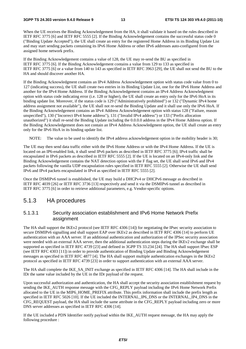When the UE receives the Binding Acknowledgement from the HA, it shall validate it based on the rules described in IETF RFC 3775 [6] and IETF RFC 5555 [2]. If the Binding Acknowledgement contains the successful status code 0 ("Binding Update Accepted"), the UE shall create an entry for the registered Home Address in its Binding Update List and may start sending packets containing its IPv6 Home Address or other IPv6 addresses auto-configured from the assigned home network prefix.

If the Binding Acknowledgement contains a value of 128, the UE may re-send the BU as specified in IETF RFC 3775 [6]. If the Binding Acknowledgement contains a value from 129 to 133 as specified in IETF RFC 3775 [6] or a value from 140 to 143 as specified in IETF RFC 3963 [29], the UE shall not send the BU to the HA and should discover another HA.

If the Binding Acknowledgment contains an IPv4 Address Acknowledgement option with status code value from 0 to 127 (indicating success), the UE shall create two entries in its Binding Update List, one for the IPv6 Home Address and another for the IPv4 Home Address. If the Binding Acknowledgement contains an IPv4 Address Acknowledgment option with status code indicating error (i.e. 128 or higher), the UE shall create an entry only for the IPv6 HoA in its binding update list. Moreover, if the status code is 129 ("Administratively prohibited") or 132 ("Dynamic IPv4 home address assignment not available"), the UE shall not re-send the Binding Update and it shall use only the IPv6 HoA. If the Binding Acknowledgement contains an IPv4 Address Acknowledgement option with status 128 ("Failure, reason unspecified"), 130 ("Incorrect IPv4 home address"), 131 ("Invalid IPv4 address") or 133 ("Prefix allocation unauthorized") it shall re-send the Binding Update including the 0.0.0.0 address in the IPv4 Home Address option. If the Binding Acknowledgement does not contain an IPv4 Address Acknowledgment option, the UE shall create an entry only for the IPv6 HoA in its binding update list.

NOTE: The value to be used to identify the IPv4 address acknowledgement option in the mobility header is 30;

The UE may then send data traffic either with the IPv6 Home Address or with the IPv4 Home Address. If the UE is located on an IP6-enabled link, it shall send IPv6 packets as described in IETF RFC 3775 [6]; IPv4 traffic shall be encapsulated in IPv6 packets as described in IETF RFC 5555 [2]. If the UE is located on an IPv4-only link and the Binding Acknowledgement contains the NAT detection option with the F flag set, the UE shall send IPv6 and IPv4 packets following the vanilla UDP encapsulation rules specified in IETF RFC 5555 [2]. Otherwise the UE shall send IPv6 and IPv4 packets encapsulated in IPv4 as specified in IETF RFC 5555 [2].

Once the DSMIPv6 tunnel is established, the UE may build a DHCPv4 or DHCPv6 message as described in IETF RFC 4039 [26] or IETF RFC 3736 [13] respectively and send it via the DSMIPv6 tunnel as described in IETF RFC 3775 [6] in order to retrieve additional parameters, e.g. Vendor-specific options.

#### 5.1.3 HA procedures

#### 5.1.3.1 Security association establishment and IPv6 Home Network Prefix assignment

The HA shall support the IKEv2 protocol (see IETF RFC 4306 [14]) for negotiating the IPsec security association to secure DSMIPv6 signalling and shall support EAP over IKEv2 as described in IETF RFC 4306 [14] to perform UE authentication with an AAA server. If an additional authentication and authorization of the IPSec security association were needed with an external AAA server, then the additional authentication steps during the IKEv2 exchange shall be supported as specified in IETF RFC 4739 [23] and defined in 3GPP TS 33.234 [24]. The HA shall support IPsec ESP (see IETF RFC 4303 [11]) in order to provide authentication of Binding Update and Binding Acknowledgement messages as specified in IETF RFC 4877 [4]. The HA shall support multiple authentication exchanges in the IKEv2 protocol as specified in IETF RFC 4739 [23] in order to support authentication with an external AAA server.

The HA shall complete the IKE\_SA\_INIT exchange as specified in IETF RFC 4306 [14]. The HA shall include in the IDr the same value included by the UE in the IDr payload of the request.

Upon successful authorization and authentication, the HA shall accept the security association establishment request by sending the IKE\_AUTH response message with the CFG\_REPLY payload including the IPv6 Home Network Prefix allocated to the UE in the MIP6\_HOME\_PREFIX attribute. This prefix information shall include the prefix length as specified in IETF RFC 5026 [10]. If the UE included the INTERNAL IP6 DNS or the INTERNAL IP4 DNS in the CFG\_REQUEST payload, the HA shall include the same attribute in the CFG\_REPLY payload including zero or more DNS server addresses as specified in IETF RFC 4306 [14].

If the UE included a PDN Identifier notify payload within the IKE\_AUTH request message, the HA may apply the following procedure :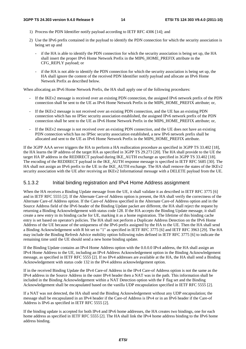- 1) Process the PDN Identifier notify payload according to IETF RFC 4306 [14]; and
- 2) Use the IPv6 prefix contained in the payload to identify the PDN connection for which the security association is being set up and
	- if the HA is able to identify the PDN connection for which the security association is being set up, the HA shall insert the proper IPv6 Home Network Prefix in the MIP6\_HOME\_PREFIX attribute in the CFG\_REPLY payload; or
	- if the HA is not able to identify the PDN connection for which the security association is being set up, the HA shall ignore the content of the received PDN Identifier notify payload and allocate an IPv6 Home Network Prefix as described below.

When allocating an IPv6 Home Network Prefix, the HA shall apply one of the following procedures:

- If the IKEv2 message is received over an existing PDN connection, the assigned IPv6 network prefix of the PDN connection shall be sent to the UE as IPv6 Home Network Prefix in the MIP6\_HOME\_PREFIX attribute; or,
- If the IKEv2 message is not received over an existing PDN connection, and the UE has an existing PDN connection which has no IPSec security association established, the assigned IPv6 network prefix of the PDN connection shall be sent to the UE as IPv6 Home Network Prefix in the MIP6\_HOME\_PREFIX attribute; or,
- If the IKEv2 message is not received over an existing PDN connection, and the UE does not have an existing PDN connection which has no IPSec security association established, a new IPv6 network prefix shall be allocated and sent to the UE as IPv6 Home Network Prefix in the MIP6\_HOME\_PREFIX attribute.

If the 3GPP AAA server triggers the HA to perform a HA reallocation procedure as specified in 3GPP TS 33.402 [18], the HA learns the IP address of the target HA as specified in 3GPP TS 29.273 [20]. The HA shall provide to the UE the target HA IP address in the REDIRECT payload during IKE\_AUTH exchange as specified in 3GPP TS 33.402 [18]. The encoding of the REDIRECT payload in the IKE\_AUTH response message is specified in IETF RFC 5685 [30]. The HA shall not assign an IPv6 prefix to the UE in the IKE\_AUTH exchange. The HA shall remove the states of the IKEv2 security association with the UE after receiving an IKEv2 Informational message with a DELETE payload from the UE.

#### 5.1.3.2 Initial binding registration and IPv4 Home Address assignment

When the HA receives a Binding Update message from the UE, it shall validate it as described in IETF RFC 3775 [6] and in IETF RFC 5555 [2]. If the Alternate Care-of Address option is present, the HA shall verify the correctness of the Alternate Care-of Address option. If the Care-of Address specified in the Alternate Care-of Address option and in the Source Address field of the IPv6 header of the Binding Update packet are different, the HA shall reject the request by returning a Binding Acknowledgement with status code 128. If the HA accepts the Binding Update message, it shall create a new entry in its binding cache for UE, marking it as a home registration. The lifetime of this binding cache entry is set based on operator's policies. The HA shall not perform a Duplicate Address Detection on the IPv6 Home Address of the UE because of the uniqueness of the IPv6 prefix assigned by the HA to the UE. Then the HA shall send a Binding Acknowledgement with R bit set to "1" as specified in IETF RFC 3775 [6] and IETF RFC 3963 [29]. The HA may include the Binding Refresh Advice mobility option following rules defined in IETF RFC 3775 [6] to indicate the remaining time until the UE should send a new home binding update.

If the Binding Update contains an IPv4 Home Address option with the 0.0.0.0 IPv4 address, the HA shall assign an IPv4 Home Address to the UE, including an IPv4 Address Acknowledgement option in the Binding Acknowledgement message, as specified in IETF RFC 5555 [2]. If no IPv4 addresses are available at the HA, the HA shall send a Binding Acknowledgement with status code 132 in the IPv4 address acknowledgement option.

If in the received Binding Update the IPv4 Care-of Address in the IPv4 Care-of Address option is not the same as the IPv4 address in the Source Address in the outer IPv4 header then a NAT was in the path. This information shall be included in the Binding Acknowledgement within a NAT Detection option with the F flag set and the Binding Acknowledgement shall be encapsulated based on the vanilla UDP encapsulation specified in IETF RFC 5555 [2].

If a NAT was not detected, the HA shall send the Binding Acknowledgement without any UDP encapsulation; the message shall be encapsulated in an IPv4 header if the Care-of Address is IPv4 or in an IPv6 header if the Care-of Address is IPv6 as specified in IETF RFC 5555 [2].

If the binding update is accepted for both IPv4 and IPv6 home addresses, the HA creates two bindings, one for each home address as specified in IETF RFC 5555 [2]. The HA shall link the IPv4 home address binding to the IPv6 home address binding.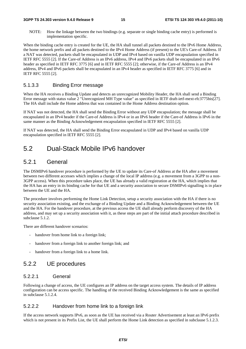NOTE: How the linkage between the two bindings (e.g. separate or single binding cache entry) is performed is implementation specific.

When the binding cache entry is created for the UE, the HA shall tunnel all packets destined to the IPv6 Home Address, the home network prefix and all packets destined to the IPv4 Home Address (if present) to the UE's Care-of Address. If a NAT was detected, packets shall be encapsulated in UDP and IPv4 based on vanilla UDP encapsulation specified in IETF RFC 5555 [2]. If the Care-of Address is an IPv6 address, IPv4 and IPv6 packets shall be encapsulated in an IPv6 header as specified in IETF RFC 3775 [6] and in IETF RFC 5555 [2]; otherwise, if the Care-of Address is an IPv4 address, IPv4 and IPv6 packets shall be encapsulated in an IPv4 header as specified in IETF RFC 3775 [6] and in IETF RFC 5555 [2].

#### 5.1.3.3 Binding Error message

When the HA receives a Binding Update and detects an unrecognized Mobility Header, the HA shall send a Binding Error message with status value 2 "Unrecognized MH Type value" as specified in IETF draft-ietf-mext-rfc3775bis[27]. The HA shall include the Home address that was contained in the Home Address destination option.

If NAT was not detected, the HA shall send the Binding Error without any UDP encapsulation; the message shall be encapsulated in an IPv4 header if the Care-of Address is IPv4 or in an IPv6 header if the Care-of Address is IPv6 in the same manner as the Binding Acknowledgement encapsulation specified in IETF RFC 5555 [2].

If NAT was detected, the HA shall send the Binding Error encapsulated in UDP and IPv4 based on vanilla UDP encapsulation specified in IETF RFC 5555 [2].

### 5.2 Dual-Stack Mobile IPv6 handover

#### 5.2.1 General

The DSMIPv6 handover procedure is performed by the UE to update its Care-of Address at the HA after a movement between two different accesses which implies a change of the local IP address (e.g. a movement from a 3GPP to a non-3GPP access). When this procedure takes place, the UE has already a valid registration at the HA, which implies that the HA has an entry in its binding cache for that UE and a security association to secure DSMIPv6 signalling is in place between the UE and the HA.

The procedure involves performing the Home Link Detection, setup a security association with the HA if there is no security association existing, and the exchange of a Binding Update and a Binding Acknowledgement between the UE and the HA. For the handover procedure, at the previous access the UE shall already perform discovery of the HA address, and may set up a security association with it, as these steps are part of the initial attach procedure described in subclause 5.1.2.

There are different handover scenarios:

- handover from home link to a foreign link;
- handover from a foreign link to another foreign link; and
- handover from a foreign link to a home link.

#### 5.2.2 UE procedures

#### 5.2.2.1 General

Following a change of access, the UE configures an IP address on the target access system. The details of IP address configuration can be access specific. The handling of the received Binding Acknowledgement is the same as specified in subclause 5.1.2.4.

#### 5.2.2.2 Handover from home link to a foreign link

If the access network supports IPv6, as soon as the UE has received via a Router Advertisement at least an IPv6 prefix which is not present in its Prefix List, the UE shall perform the Home Link detection as specified in subclause 5.1.2.3.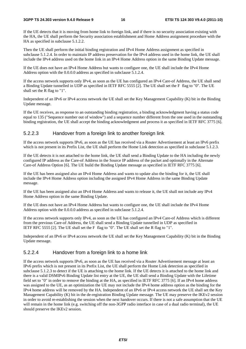If the UE detects that it is moving from home link to foreign link, and if there is no security association existing with the HA, the UE shall perform the Security association establishment and Home Address assignment procedure with the HA as specified in subclause 5.1.2.2.

Then the UE shall perform the initial binding registration and IPv4 Home Address assignment as specified in subclause 5.1.2.4. In order to maintain IP address preservation for the IPv4 address used in the home link, the UE shall include the IPv4 address used on the home link in an IPv4 Home Address option in the same Binding Update message.

If the UE does not have an IPv4 Home Address but wants to configure one, the UE shall include the IPv4 Home Address option with the 0.0.0.0 address as specified in subclause 5.1.2.4.

If the access network supports only IPv4, as soon as the UE has configured an IPv4 Care-of Address, the UE shall send a Binding Update tunnelled in UDP as specified in IETF RFC 5555 [2]. The UE shall set the F flag to "0". The UE shall set the R flag to "1".

Independent of an IPv6 or IPv4 access network the UE shall set the Key Management Capability (K) bit in the Binding Update message.

If the UE receives, as response to an outstanding binding registration, a binding acknowledgment having a status code equal to 135 ("Sequence number out of window") and a sequence number different from the one used in the outstanding binding registration, the UE shall accept the binding acknowledgment and process it as specified in IETF RFC 3775 [6].

#### 5.2.2.3 Handover from a foreign link to another foreign link

If the access network supports IPv6, as soon as the UE has received via a Router Advertisement at least an IPv6 prefix which is not present in its Prefix List, the UE shall perform the Home Link detection as specified in subclause 5.1.2.3.

If the UE detects it is not attached to the home link, the UE shall send a Binding Update to the HA including the newly configured IP address as the Care-of Address in the Source IP address of the packet and optionally in the Alternate Care-of Address Option [6]. The UE build the Binding Update message as specified in IETF RFC 3775 [6].

If the UE has been assigned also an IPv4 Home Address and wants to update also the binding for it, the UE shall include the IPv4 Home Address option including the assigned IPv4 Home Address in the same Binding Update message.

If the UE has been assigned also an IPv4 Home Address and wants to release it, the UE shall not include any IPv4 Home Address option in the same Binding Update.

If the UE does not have an IPv4 Home Address but wants to configure one, the UE shall include the IPv4 Home Address option with the 0.0.0.0 address as specified in subclause 5.1.2.4.

If the access network supports only IPv4, as soon as the UE has configured an IPv4 Care-of Address which is different from the previous Care-of Address, the UE shall send a Binding Update tunnelled in UDP as specified in IETF RFC 5555 [2]. The UE shall set the F flag to "0". The UE shall set the R flag to "1".

Independent of an IPv6 or IPv4 access network the UE shall set the Key Management Capability (K) bit in the Binding Update message.

#### 5.2.2.4 Handover from a foreign link to a home link

If the access network supports IPv6, as soon as the UE has received via a Router Advertisement message at least an IPv6 prefix which is not present in its Prefix List, the UE shall perform the Home Link detection as specified in subclause 5.1.2.3 to detect if the UE is attaching to the home link. If the UE detects it is attached to the home link and there is a valid DSMIPv6 Binding Update list entry at the UE, the UE shall send a Binding Update with the Lifetime field set to "0" in order to remove the binding at the HA, as specified in IETF RFC 3775 [6]. If an IPv4 home address was assigned to the UE, as an optimization the UE may not include the IPv4 home address option as the binding for the IPv4 home address will be removed by the HA. Independent of an IPv6 or IPv4 access network the UE shall set the Key Management Capability (K) bit in the de-registration Binding Update message. The UE may preserve the IKEv2 session in order to avoid re-establishing the session when the next handover occurs. If there is not a safe assumption that the UE will remain in the home link (e.g. switching off the non-3GPP radio interface in case of a dual radio terminal), the UE should preserve the IKEv2 session.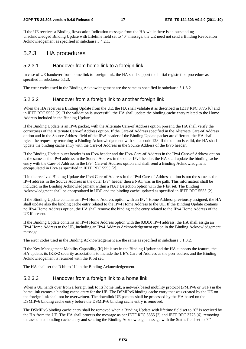#### **3GPP TS 24.303 version 9.4.0 Release 9 17 ETSI TS 124 303 V9.4.0 (2011-10)**

If the UE receives a Binding Revocation Indication message from the HA while there is an outstanding unacknowledged Binding Update with Lifetime field set to "0" message, the UE need not send a Binding Revocation Acknowledgement as specified in subclause 5.4.2.1.

#### 5.2.3 HA procedures

#### 5.2.3.1 Handover from home link to a foreign link

In case of UE handover from home link to foreign link, the HA shall support the initial registrstion procedure as specified in subclause 5.1.3.

The error codes used in the Binding Acknowledgement are the same as specified in subclause 5.1.3.2.

#### 5.2.3.2 Handover from a foreign link to another foreign link

When the HA receives a Binding Update from the UE, the HA shall validate it as described in IETF RFC 3775 [6] and in IETF RFC 5555 [2]. If the validation is successful, the HA shall update the binding cache entry related to the Home Address included in the Binding Update.

If the Binding Update is an IPv6 packet, with the Alternate Care-of Address option present, the HA shall verify the correctness of the Alternate Care-of Address option. If the Care-of Address specified in the Alternate Care-of Address option and in the Source Address field of the IPv6 header of the Binding Update packet are different, the HA shall reject the request by returning a Binding Acknowledgement with status code 128. If the option is valid, the HA shall update the binding cache entry with the Care-of Address in the Source Address of the IPv6 header.

If the Binding Update outer header is an IPv4 header and the IPv4 Care-of Address in the IPv4 Care-of Address option is the same as the IPv4 address in the Source Address in the outer IPv4 header, the HA shall update the binding cache entry with the Care-of Address in the IPv4 Care-of Address option and shall send a Binding Acknowledgment encapsulated in IPv4 as specified in IETF RFC 5555 [2].

If in the received Binding Update the IPv4 Care-of Address in the IPv4 Care-of Address option is not the same as the IPv4 address in the Source Address in the outer IPv4 header then a NAT was in the path. This information shall be included in the Binding Acknowledgement within a NAT Detection option with the F bit set. The Binding Acknowledgment shall be encapsulated in UDP and the binding cache updated as specified in IETF RFC 5555 [2].

If the Binding Update contains an IPv4 Home Address option with an IPv4 Home Address previously assigned, the HA shall update also the binding cache entry related to the IPv4 Home Address to the UE. If the Binding Update contains no IPv4 Home Address option, the HA shall remove the binding cache entry related to the IPv4 Home Address of the UE if present.

If the Binding Update contains an IPv4 Home Address option with the 0.0.0.0 IPv4 address, the HA shall assign an IPv4 Home Address to the UE, including an IPv4 Address Acknowledgement option in the Binding Acknowledgement message.

The error codes used in the Binding Acknowledgement are the same as specified in subclause 5.1.3.2.

If the Key Management Mobility Capability (K) bit is set in the Binding Update and the HA supports the feature, the HA updates its IKEv2 security associations to include the UE"s Care-of Address as the peer address and the Binding Acknowledgement is returned with the K bit set.

The HA shall set the R bit to "1" in the Binding Acknowledgement.

#### 5.2.3.3 Handover from a foreign link to a home link

When a UE hands over from a foreign link to its home link, a network based mobility protocol (PMIPv6 or GTP) in the home link creates a binding cache entry for the UE. The DSMIPv6 binding cache entry that was created by the UE on the foreign link shall not be overwritten. The downlink UE packets shall be processed by the HA based on the DSMIPv6 binding cache entry before the DSMIPv6 binding cache entry is removed.

The DSMIPv6 binding cache entry shall be removed when a Binding Update with lifetime field set to "0" is received by the HA from the UE. The HA shall process the message as per IETF RFC 5555 [2] and IETF RFC 3775 [6], removing the associated binding cache entry and sending the Binding Acknowledge message with the Status field set to "0"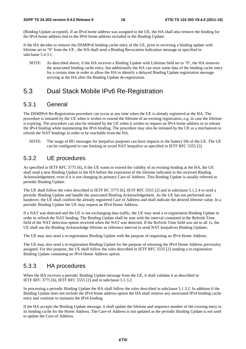(Binding Update accepted). If an IPv4 home address was assigned to the UE, the HA shall also remove the binding for the IPv4 home address tied to the IPv6 home address included in the Binding Update.

If the HA decides to remove the DSMIPv6 binding cache entry of the UE, prior to receiving a binding update with lifetime set to "0" from the UE , the HA shall send a Binding Revocation Indication message as specified in subclause 5.4.3.1.

NOTE: As described above, if the HA receives a Binding Update with Lifetime field set to "0", the HA removes the associated binding cache entry, but additionally the HA can store some data of the binding cache entry for a certain time in order to allow the HA to identify a delayed Binding Update registration message arriving at the HA after the Binding Update de-registration.

### 5.3 Dual Stack Mobile IPv6 Re-Registration

#### 5.3.1 General

The DSMIPv6 Re-Registration procedure can occur at any time when the UE is already registered at the HA. The procedure is initiated by the UE when it wishes to extend the lifetime of an existing registration, e.g. in case the lifetime is expiring. The procedure can also be initiated by the UE when it wishes to request an IPv4 home address or to release the IPv4 binding while maintaining the IPv6 binding. The procedure may also be initiated by the UE as a mechanism to refresh the NAT bindings in order to be reachable from the HA.

NOTE: The usage of BU messages for keepalive purposes can have impacts to the battery life of the UE. The UE can be configured to rate limiting or avoid NAT keepalive as specified in IETF RFC 5555 [2].

#### 5.3.2 UE procedures

As specified in IETF RFC 3775 [6], if the UE wants to extend the validity of an existing binding at the HA, the UE shall send a new Binding Update to the HA before the expiration of the lifetime indicated in the received Binding Acknowledgement, even if it is not changing its primary Care-of Address. This Binding Update is usually referred as periodic Binding Update.

The UE shall follow the rules described in IETF RC 3775 [6], IETF RFC 5555 [2] and in subclause 5.1.2.4 to send a periodic Binding Update and handle the associated Binding Acknowledgement. As the UE has not performed any handover, the UE shall confirm the already registered Care of Address and shall indicate the desired lifetime value. In a periodic Binding Update the UE may request an IPv4 Home Address.

If a NAT was detected and the UE is not exchanging data traffic, the UE may send a re-registration Binding Update in order to refresh the NAT binding. The Binding Update shall be sent with the interval contained in the Refresh Time field of the NAT detection option received when the NAT was detected. If the Refresh Time field was set to all 1s, the UE shall use the Binding Acknowledge lifetime as reference interval to send NAT keepalives Binding Updates.

The UE may also send a re-registration Binding Update with the purpose of requesting an IPv4 Home Address.

The UE may also send a re-registration Binding Update for the purpose of releasing the IPv4 Home Address previoulsy assigned. For this purpose, the UE shall follow the rules described in IETF RFC 5555 [2] sending a re-registration Binding Update containing no IPv4 Home Address option.

#### 5.3.3 HA procedures

When the HA receives a periodic Binding Update message from the UE, it shall validate it as described in IETF RFC 3775 [6], IETF RFC 5555 [2] and in subclause 5.1.3.2.

In processing a periodic Binding Update the HA shall follow the rules described in subclause 5.1.3.2. In addition if the Binding Update does not include the IPv4 home address option the HA shall remove any associated IPv4 binding cache entry and continue to maintain the IPv6 binding.

If the HA accepts the Binding Update message, it shall update the lifetime and sequence number of the existing entry in its binding cache for the Home Address. The Care-of Address is not updated as the periodic Binding Update is not used to update the Care-of Address.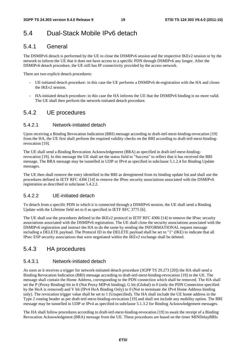### 5.4 Dual-Stack Mobile IPv6 detach

### 5.4.1 General

The DSMIPv6 detach is performed by the UE to close the DSMIPv6 session and the respective IKEv2 session or by the network to inform the UE that it does not have access to a specific PDN through DSMIPv6 any longer. After the DSMIPv6 detach procedure, the UE still has IP connectivity provided by the access network.

There are two explicit detach procedures:

- UE-initiated detach procedure: in this case the UE performs a DSMIPv6 de-registration with the HA and closes the IKEv2 session.
- HA-initiated detach procedure: in this case the HA informs the UE that the DSMIPv6 binding is no more valid. The UE shall then perform the network-initiated detach procedure.

### 5.4.2 UE procedures

#### 5.4.2.1 Network-initiated detach

Upon receiving a Binding Revocation Indication (BRI) message according to draft-ietf-mext-binding-revocation [19] from the HA, the UE first shall perform the required validity checks on the BRI according to draft-ietf-mext-bindingrevocation [19].

The UE shall send a Binding Revocation Acknowledgement (BRA) as specified in draft-ietf-mext-bindingrevocation [19]. In this message the UE shall set the status field to "Success" to reflect that it has received the BRI message. The BRA message may be tunnelled in UDP or IPv4 as specified in subclause 5.1.2.4 for Binding Update messages.

The UE then shall remove the entry identified in the BRI as deregistered from its binding update list and shall use the procedures defined in IETF RFC 4306 [14] to remove the IPsec security associations associated with the DSMIPv6 registration as described in subclause 5.4.2.2.

#### 5.4.2.2 UE-initiated detach

To detach from a specific PDN to which it is connected through a DSMIPv6 session, the UE shall send a Binding Update with the Lifetime field set to 0 as specified in IETF RFC 3775 [6].

The UE shall use the procedures defined in the IKEv2 protocol in IETF RFC 4306 [14] to remove the IPsec security associations associated with the DSMIPv6 registration. The UE shall close the security associations associated with the DSMIPv6 registration and instruct the HA to do the same by sending the INFORMATIONAL request message including a DELETE payload. The Protocol ID in the DELETE payload shall be set to "1" (IKE) to indicate that all IPsec ESP security associations that were negotiated within the IKEv2 exchange shall be deleted.

#### 5.4.3 HA procedures

#### 5.4.3.1 Network-initiated detach

As soon as it receives a trigger for network-initiated detach procedure (3GPP TS 29.273 [20]) the HA shall send a Binding Revocation Indication (BRI) message according to draft-ietf-mext-binding-revocation [19] to the UE. The message shall contain the Home Address, corresponding to the PDN connection which shall be removed. The HA shall set the P (Proxy Binding) bit to 0 (Not Proxy MIPv6 binding), G bit (Global) to 0 (only the PDN Connection specified by the HoA is removed) and V bit (IPv4 HoA Binding Only) to 0 (Not to terminate the IPv4 Home Address binding only). The revocation trigger value shall be set to 1 (Unspecified). The HA shall include the UE home address in the Type 2 routing header as per draft-ietf-mext-binding-revocation [19] and shall not include any mobility option. The BRI message may be tunnelled in UDP or IPv4 as specified in subclause 5.1.3.2 for Binding Acknowledgement messages.

The HA shall follow procedures according to draft-ietf-mext-binding-revocation [19] to await the receipt of a Binding Revocation Acknowledgment (BRA) message from the UE. These procedures are based on the timer MINDelayBRIs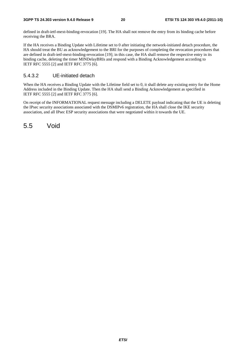defined in draft-ietf-mext-binding-revocation [19]. The HA shall not remove the entry from its binding cache before receiving the BRA.

If the HA receives a Binding Update with Lifetime set to 0 after initiating the network-initiated detach procedure, the HA should treat the BU as acknowledgement to the BRI for the purposes of completing the revocation procedures that are defined in draft-ietf-mext-binding-revocation [19]; in this case, the HA shall remove the respective entry in its binding cache, deleting the timer MINDelayBRIs and respond with a Binding Acknowledgement according to IETF RFC 5555 [2] and IETF RFC 3775 [6].

#### 5.4.3.2 UE-initiated detach

When the HA receives a Binding Update with the Lifetime field set to 0, it shall delete any existing entry for the Home Address included in the Binding Update. Then the HA shall send a Binding Acknowledgement as specified in IETF RFC 5555 [2] and IETF RFC 3775 [6].

On receipt of the INFORMATIONAL request message including a DELETE payload indicating that the UE is deleting the IPsec security associations associated with the DSMIPv6 registration, the HA shall close the IKE security association, and all IPsec ESP security associations that were negotiated within it towards the UE.

5.5 Void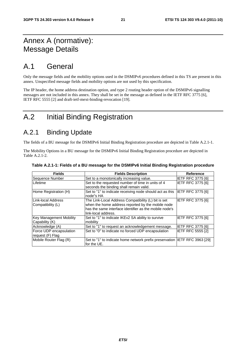### Annex A (normative): Message Details

### A.1 General

Only the message fields and the mobility options used in the DSMIPv6 procedures defined in this TS are present in this annex. Unspecified message fields and mobility options are not used by this specification.

The IP header, the home address destination option, and type 2 routing header option of the DSMIPv6 signalling messages are not included in this annex. They shall be set in the message as defined in the IETF RFC 3775 [6], IETF RFC 5555 [2] and draft-ietf-mext-binding-revocation [19].

### A.2 Initial Binding Registration

### A.2.1 Binding Update

The fields of a BU message for the DSMIPv6 Initial Binding Registration procedure are depicted in Table A.2.1-1.

The Mobility Options in a BU message for the DSMIPv6 Initial Binding Registration procedure are depicted in Table A.2.1-2.

| <b>Fields</b>                               | <b>Fields Description</b>                                                                                                                                                                 | <b>Reference</b>         |
|---------------------------------------------|-------------------------------------------------------------------------------------------------------------------------------------------------------------------------------------------|--------------------------|
| Sequence Number                             | Set to a monotonically increasing value.                                                                                                                                                  | <b>IETF RFC 3775 [6]</b> |
| Lifetime                                    | Set to the requested number of time in units of 4<br>seconds the binding shall remain valid.                                                                                              | <b>IETF RFC 3775 [6]</b> |
| Home Registration (H)                       | Set to "1" to indicate receiving node should act as this<br>node"s HA                                                                                                                     | IETF RFC 3775 [6]        |
| Link-local Address<br>Compatibility (L)     | The Link-Local Address Compatibility (L) bit is set<br>when the home address reported by the mobile node<br>has the same interface identifier as the mobile node's<br>link-local address. | IETF RFC 3775 [6]        |
| Key Management Mobility<br>Capability (K)   | Set to "1" to indicate IKEv2 SA ability to survive<br>mobility                                                                                                                            | <b>IETF RFC 3775 [6]</b> |
| Acknowledge (A)                             | Set to "1" to request an acknowledgement message.                                                                                                                                         | <b>IETF RFC 3775 [6]</b> |
| Force UDP encapsulation<br>request (F) Flag | Set to "0" to indicate no forced UDP encapsulation                                                                                                                                        | <b>IETF RFC 5555 [2]</b> |
| Mobile Router Flag (R)                      | Set to "1" to indicate home network prefix preservation IIETF RFC 3963 [29]<br>for the UE.                                                                                                |                          |

#### **Table A.2.1-1: Fields of a BU message for the DSMIPv6 Initial Binding Registration procedure**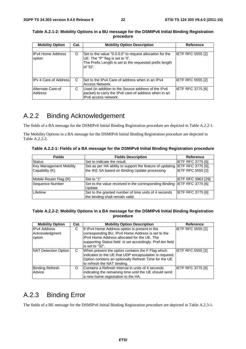| <b>Mobility Option</b>             | Cat. | <b>Mobility Option Description</b>                                                                                                                                 | <b>Reference</b>         |
|------------------------------------|------|--------------------------------------------------------------------------------------------------------------------------------------------------------------------|--------------------------|
| <b>IPv4 Home Address</b><br>option | O    | Set to the value "0.0.0.0" to request allocation for the<br>UE. The "P" flag is set to '0'.<br>The Prefix Length is set to the requested prefix length<br>of '32'. | <b>IETF RFC 5555 [2]</b> |
| IPv 4 Care-of Address              | C    | Set to the IPv4 Care-of address when in an IPv4<br>Access Network.                                                                                                 | IETF RFC 5555 [2]        |
| Alternate Care-of<br>Address       | С    | Used (in addition to the Source address of the IPv6<br>packet) to carry the IPv6 care-of address when in an<br>IPv6 access network.                                | <b>IETF RFC 3775 [6]</b> |

#### **Table A.2.1-2: Mobility Options in a BU message for the DSMIPv6 Initial Binding Registration procedure**

### A.2.2 Binding Acknowledgement

The fields of a BA message for the DSMIPv6 Initial Binding Registration procedure are depicted in Table A.2.2-1.

The Mobility Options in a BA message for the DSMIPv6 Initial Binding Registration procedure are depicted in Table A.2.2-2.

**Table A.2.2-1: Fields of a BA message for the DSMIPv6 Initial Binding Registration procedure** 

| <b>Fields</b>                                    | <b>Fields Description</b>                                                                                                    | Reference                 |
|--------------------------------------------------|------------------------------------------------------------------------------------------------------------------------------|---------------------------|
| <b>Status</b>                                    | Set to indicate the result.                                                                                                  | <b>IETF RFC 3775 [6]</b>  |
| <b>Key Management Mobility</b><br>Capability (K) | Set as per HA ability to support the feature of updating IETF RFC 3775 [6],<br>the IKE SA based on Binding Update processing | <b>IETF RFC 5555 [2]</b>  |
| Mobile Router Flag (R)                           | Set to "1"                                                                                                                   | <b>IETF RFC 3963 [29]</b> |
| Sequence Number                                  | Set to the value received in the corresponding Binding IETF RFC 3775 [6]<br>Update.                                          |                           |
| Lifetime                                         | Set to the granted number of time units of 4 seconds<br>the binding shall remain valid.                                      | <b>IETF RFC 3775 [6]</b>  |

#### **Table A.2.2-2: Mobility Options in a BA message for the DSMIPv6 Initial Binding Registration procedure**

| <b>Mobility Option</b>                          | Cat. | <b>Mobility Option Description</b>                                                                                                                                                                                                 | Reference         |
|-------------------------------------------------|------|------------------------------------------------------------------------------------------------------------------------------------------------------------------------------------------------------------------------------------|-------------------|
| <b>IPv4 Address</b><br>Acknowledgment<br>option | С    | If IPv4 Home Address option is present in the<br>corresponding BU, IPv4 Home Address is set to the<br>IPv4 Home Address allocated for the UE. The<br>supporting Status field is set accordingly. Pref-len field<br>is set to "32". | IETF RFC 5555 [2] |
| NAT Detection Option                            | C    | When present the option contains the F Flag which<br>indicates to the UE that UDP encapsulation is required.<br>Option contains an optionally Refresh Time for the UE<br>to refresh the NAT binding.                               | IETF RFC 5555 [2] |
| <b>Binding Refresh</b><br>Advice                | O    | Contains a Refresh Interval in units of 4 seconds<br>indicating the remaining time until the UE should send<br>a new home registration to the HA.                                                                                  | IETF RFC 3775 [6] |

### A.2.3 Binding Error

The fields of a BE message for the DSMIPv6 Initial Binding Registration procedure are depicted in Table A.2.3-1.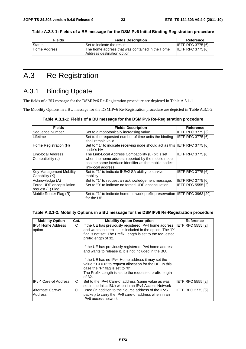**Table A.2.3-1: Fields of a BE message for the DSMIPv6 Initial Binding Registration procedure** 

| <b>Fields</b> | <b>Fields Description</b>                                                      | Reference                |
|---------------|--------------------------------------------------------------------------------|--------------------------|
| Status        | Set to indicate the result.                                                    | <b>IETF RFC 3775 [6]</b> |
| Home Address  | IThe home address that was contained in the Home<br>Address destination option | <b>IETF RFC 3775 [6]</b> |

### A.3 Re-Registration

### A.3.1 Binding Update

The fields of a BU message for the DSMIPv6 Re-Registration procedure are depicted in Table A.3.1-1.

The Mobility Options in a BU message for the DSMIPv6 Re-Registration procedure are depicted in Table A.3.1-2.

| <b>Fields</b>                               | <b>Fields Description</b>                                                                                                                                                                  | Reference                |
|---------------------------------------------|--------------------------------------------------------------------------------------------------------------------------------------------------------------------------------------------|--------------------------|
| Sequence Number                             | Set to a monotonically increasing value.                                                                                                                                                   | <b>IETF RFC 3775 [6]</b> |
| Lifetime                                    | Set to the requested number of time units the binding<br>shall remain valid.                                                                                                               | <b>IETF RFC 3775 [6]</b> |
| Home Registration (H)                       | Set to "1" to indicate receiving node should act as this IETF RFC 3775 [6]<br>Inode"s HA                                                                                                   |                          |
| Link-local Address<br>Compatibility (L)     | The Link-Local Address Compatibility (L) bit is set<br>when the home address reported by the mobile node<br>has the same interface identifier as the mobile node's<br>llink-local address. | IETF RFC 3775 [6]        |
| Key Management Mobility<br>Capability (K)   | Set to "1" to indicate IKEv2 SA ability to survive<br>mobility                                                                                                                             | IETF RFC 3775 [6]        |
| Acknowledge (A)                             | Set to "1" to request an acknowledgement message.                                                                                                                                          | IETF RFC 3775 [6]        |
| Force UDP encapsulation<br>request (F) Flag | Set to "0" to indicate no forced UDP encapsulation                                                                                                                                         | <b>IETF RFC 5555 [2]</b> |
| Mobile Router Flag (R)                      | Set to "1" to indicate home network prefix preservation IETF RFC 3963 [29]<br>for the UE.                                                                                                  |                          |

#### **Table A.3.1-2: Mobility Options in a BU message for the DSMIPv6 Re-Registration procedure**

| <b>Mobility Option</b>       | Cat. | <b>Mobility Option Description</b>                                                                                                                                                                                           | Reference         |
|------------------------------|------|------------------------------------------------------------------------------------------------------------------------------------------------------------------------------------------------------------------------------|-------------------|
| IIPv4 Home Address<br>option | C    | If the UE has previously registered IPv4 home address IETF RFC 5555 [2]<br>and wants to keep it, it is included in the option. The "P"<br>flag is not set. The Prefix Length is set to the requested<br>prefix length of 32. |                   |
|                              |      | If the UE has previously registered IPv4 home address<br>and wants to release it, it is not included in the BU.                                                                                                              |                   |
|                              |      | If the UE has no IPv4 Home address it may set the<br>value "0.0.0.0" to request allocation for the UE. In this<br>case the "P" flag is set to "0".                                                                           |                   |
|                              |      | The Prefix Length is set to the requested prefix length<br>of 32.                                                                                                                                                            |                   |
| <b>IPv 4 Care-of Address</b> | C    | Set to the IPv4 Care-of address (same value as was<br>set in the Initial BU) when in an IPv4 Access Network                                                                                                                  | IETF RFC 5555 [2] |
| Alternate Care-of<br>Address | C    | Used (in addition to the Source address of the IPv6<br>packet) to carry the IPv6 care-of address when in an<br>IPv6 access network.                                                                                          | IETF RFC 3775 [6] |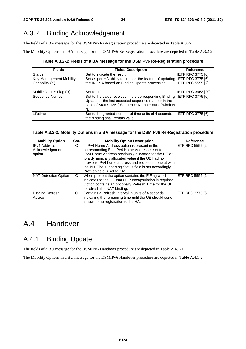### A.3.2 Binding Acknowledgement

The fields of a BA message for the DSMIPv6 Re-Registration procedure are depicted in Table A.3.2-1.

The Mobility Options in a BA message for the DSMIPv6 Re-Registration procedure are depicted in Table A.3.2-2.

**Table A.3.2-1: Fields of a BA message for the DSMIPv6 Re-Registration procedure** 

| <b>Fields</b>                                    | <b>Fields Description</b>                                                                                                                                                            | <b>Reference</b>          |
|--------------------------------------------------|--------------------------------------------------------------------------------------------------------------------------------------------------------------------------------------|---------------------------|
| <b>Status</b>                                    | Set to indicate the result.                                                                                                                                                          | <b>IETF RFC 3775 [6]</b>  |
| <b>Key Management Mobility</b><br>Capability (K) | Set as per HA ability to support the feature of updating IETF RFC 3775 [6],<br>the IKE SA based on Binding Update processing                                                         | <b>IETF RFC 5555 [2]</b>  |
| Mobile Router Flag (R)                           | Set to "1"                                                                                                                                                                           | <b>IETF RFC 3963 [29]</b> |
| Sequence Number                                  | Set to the value received in the corresponding Binding IETF RFC 3775 [6]<br>Update or the last accepted sequence number in the<br>case of Status 135 ("Sequence Number out of window |                           |
| Lifetime                                         | Set to the granted number of time units of 4 seconds<br>the binding shall remain valid.                                                                                              | <b>IETF RFC 3775 [6]</b>  |

#### **Table A.3.2-2: Mobility Options in a BA message for the DSMIPv6 Re-Registration procedure**

| <b>Mobility Option</b> | Cat. | <b>Mobility Option Description</b>                      | <b>Reference</b>         |
|------------------------|------|---------------------------------------------------------|--------------------------|
| <b>IPv4 Address</b>    | С    | If IPv4 Home Address option is present in the           | IETF RFC 5555 [2]        |
| Acknowledgment         |      | corresponding BU, IPv4 Home Address is set to the       |                          |
| option                 |      | IPv4 Home Address previously allocated for the UE or    |                          |
|                        |      | to a dynamically allocated value if the UE had no       |                          |
|                        |      | previous IPv4 home address and requested one at with    |                          |
|                        |      | the BU. The supporting Status field is set accordingly. |                          |
|                        |      | Pref-len field is set to "32".                          |                          |
| NAT Detection Option   | C    | When present the option contains the F Flag which       | <b>IETF RFC 5555 [2]</b> |
|                        |      | indicates to the UE that UDP encapsulation is required. |                          |
|                        |      | Option contains an optionally Refresh Time for the UE   |                          |
|                        |      | to refresh the NAT binding.                             |                          |
| <b>Binding Refresh</b> | O    | Contains a Refresh Interval in units of 4 seconds       | <b>IETF RFC 3775 [6]</b> |
| Advice                 |      | indicating the remaining time until the UE should send  |                          |
|                        |      | a new home registration to the HA.                      |                          |

### A.4 Handover

### A.4.1 Binding Update

The fields of a BU message for the DSMIPv6 Handover procedure are depicted in Table A.4.1-1.

The Mobility Options in a BU message for the DSMIPv6 Handover procedure are depicted in Table A.4.1-2.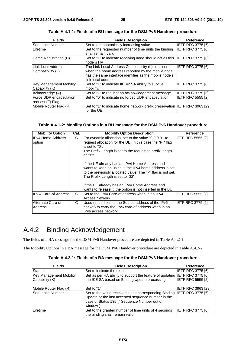| <b>Fields</b>                                    | <b>Fields Description</b>                                                                                                                                                                 | <b>Reference</b>         |
|--------------------------------------------------|-------------------------------------------------------------------------------------------------------------------------------------------------------------------------------------------|--------------------------|
| Sequence Number                                  | Set to a monotonically increasing value.                                                                                                                                                  | <b>IETF RFC 3775 [6]</b> |
| Lifetime                                         | Set to the requested number of time units the binding<br>shall remain valid.                                                                                                              | <b>IETF RFC 3775 [6]</b> |
| Home Registration (H)                            | Set to "1" to indicate receiving node should act as this IETF RFC 3775 [6]<br>node"s HA                                                                                                   |                          |
| Link-local Address<br>Compatibility (L)          | The Link-Local Address Compatibility (L) bit is set<br>when the home address reported by the mobile node<br>has the same interface identifier as the mobile node's<br>link-local address. | <b>IETF RFC 3775 [6]</b> |
| <b>Key Management Mobility</b><br>Capability (K) | Set to "1" to indicate IKEv2 SA ability to survive<br>mobility.                                                                                                                           | IETF RFC 3775 [6]        |
| Acknowledge (A)                                  | Set to "1" to request an acknowledgement message.                                                                                                                                         | <b>IETF RFC 3775 [6]</b> |
| Force UDP encapsulation<br>request (F) Flag      | Set to "0" to indicate no forced UDP encapsulation                                                                                                                                        | <b>IETF RFC 5555 [2]</b> |
| Mobile Router Flag (R)                           | Set to "1" to indicate home network prefix preservation IETF RFC 3963 [29]<br>for the UE.                                                                                                 |                          |

**Table A.4.1-1: Fields of a BU message for the DSMIPv6 Handover procedure** 

#### **Table A.4.1-2: Mobility Options in a BU message for the DSMIPv6 Handover procedure**

| <b>Mobility Option</b>             | Cat. | <b>Mobility Option Description</b>                                                                                                                                                                                                                                                                                            | <b>Reference</b>         |
|------------------------------------|------|-------------------------------------------------------------------------------------------------------------------------------------------------------------------------------------------------------------------------------------------------------------------------------------------------------------------------------|--------------------------|
| <b>IPv4 Home Address</b><br>option | C    | For dynamic allocation, set to the value "0.0.0.0" to<br>request allocation for the UE. In this case the "P" flag<br>is set to "0".<br>The Prefix Length is set to the requested prefix length<br>of "32".                                                                                                                    | <b>IETF RFC 5555 [2]</b> |
|                                    |      | If the UE already has an IPv4 Home Address and<br>wants to keep on using it, the IPv4 home address is set<br>to the previously allocated value. The "P" flag is not set.<br>The Prefix Length is set to "32".<br>If the UE already has an IPv4 Home Address and<br>wants to release it, the option is not inserted in the BU, |                          |
| IIPv 4 Care-of Addressl            | C.   | Set to the IPv4 Care-of address when in an IPv4<br>Access Network.                                                                                                                                                                                                                                                            | <b>IETF RFC 5555 [2]</b> |
| Alternate Care-of<br>Address       | C    | Used (in addition to the Source address of the IPv6<br>packet) to carry the IPv6 care-of address when in an<br>IPv6 access network.                                                                                                                                                                                           | <b>IETF RFC 3775 [6]</b> |

### A.4.2 Binding Acknowledgement

The fields of a BA message for the DSMIPv6 Handover procedure are depicted in Table A.4.2-1.

The Mobility Options in a BA message for the DSMIPv6 Handover procedure are depicted in Table A.4.2-2.

|  | Table A.4.2-1: Fields of a BA message for the DSMIPv6 Handover procedure |
|--|--------------------------------------------------------------------------|
|--|--------------------------------------------------------------------------|

| <b>Fields</b>                  | <b>Fields Description</b>                                                                                                                                                 | <b>Reference</b>          |
|--------------------------------|---------------------------------------------------------------------------------------------------------------------------------------------------------------------------|---------------------------|
| Status                         | Set to indicate the result.                                                                                                                                               | <b>IETF RFC 3775 [6]</b>  |
| <b>Key Management Mobility</b> | Set as per HA ability to support the feature of updating IETF RFC 3775 [6],                                                                                               |                           |
| Capability (K)                 | the IKE SA based on Binding Update processing                                                                                                                             | <b>IETF RFC 5555 [2]</b>  |
| Mobile Router Flag (R)         | Set to "1"                                                                                                                                                                | <b>IETF RFC 3963 [29]</b> |
| Sequence Number                | Set to the value received in the corresponding Binding<br>Update or the last accepted sequence number in the<br>case of Status 135 (" Sequence Number out of<br>window"). | <b>IETF RFC 3775 [6]</b>  |
| Lifetime                       | Set to the granted number of time units of 4 seconds<br>the binding shall remain valid.                                                                                   | IETF RFC 3775 [6]         |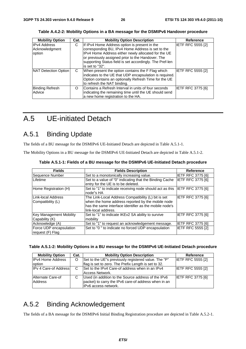| <b>Mobility Option</b> | Cat. | <b>Mobility Option Description</b>                       | Reference                |
|------------------------|------|----------------------------------------------------------|--------------------------|
| <b>IPv4 Address</b>    | С    | If IPv4 Home Address option is present in the            | <b>IETF RFC 5555 [2]</b> |
| Acknowledgment         |      | corresponding BU, IPv4 Home Address is set to the        |                          |
| option                 |      | IPv4 Home Address either newly allocated for the UE      |                          |
|                        |      | or previously assigned prior to the Handover. The        |                          |
|                        |      | supporting Status field is set accordingly. The Pref-len |                          |
|                        |      | is set to "32".                                          |                          |
| NAT Detection Option   | C    | When present the option contains the F Flag which        | <b>IETF RFC 5555 [2]</b> |
|                        |      | indicates to the UE that UDP encapsulation is required.  |                          |
|                        |      | Option contains an optionally Refresh Time for the UE    |                          |
|                        |      | to refresh the NAT binding.                              |                          |
| <b>Binding Refresh</b> | O    | Contains a Refresh Interval in units of four seconds     | <b>IETF RFC 3775 [6]</b> |
| Advice                 |      | indicating the remaining time until the UE should send   |                          |
|                        |      | a new home registration to the HA.                       |                          |

**Table A.4.2-2: Mobility Options in a BA message for the DSMIPv6 Handover procedure** 

### A.5 UE-initiated Detach

### A.5.1 Binding Update

The fields of a BU message for the DSMIPv6 UE-Initiated Detach are depicted in Table A.5.1-1.

The Mobility Options in a BU message for the DSMIPv6 UE-Initiated Detach are depicted in Table A.5.1-2.

| <b>Fields</b>                                    | <b>Fields Description</b>                                                                                                                                                                 | <b>Reference</b>         |
|--------------------------------------------------|-------------------------------------------------------------------------------------------------------------------------------------------------------------------------------------------|--------------------------|
| Sequence Number                                  | Set to a monotonically increasing value.                                                                                                                                                  | <b>IETF RFC 3775 [6]</b> |
| Lifetime                                         | Set to a value of "0" indicating that the Binding Cache<br>entry for the UE is to be deleted.                                                                                             | <b>IETF RFC 3775 [6]</b> |
| Home Registration (H)                            | Set to "1" to indicate receiving node should act as this IETF RFC 3775 [6]<br>node"s HA                                                                                                   |                          |
| Link-local Address<br>Compatibility (L)          | The Link-Local Address Compatibility (L) bit is set<br>when the home address reported by the mobile node<br>has the same interface identifier as the mobile node's<br>link-local address. | <b>IETF RFC 3775 [6]</b> |
| <b>Key Management Mobility</b><br>Capability (K) | Set to "1" to indicate IKEv2 SA ability to survive<br>mobility                                                                                                                            | <b>IETF RFC 3775 [6]</b> |
| Acknowledge (A)                                  | Set to "1" to request an acknowledgement message.                                                                                                                                         | <b>IETF RFC 3775 [6]</b> |
| Force UDP encapsulation<br>request (F) Flag      | Set to "0" to indicate no forced UDP encapsulation                                                                                                                                        | <b>IETF RFC 5555 [2]</b> |

**Table A.5.1-1: Fields of a BU message for the DSMIPv6 UE-Initiated Detach procedure** 

| Table A.5.1-2: Mobility Options in a BU message for the DSMIPv6 UE-Initiated Detach procedure |  |  |  |  |  |
|-----------------------------------------------------------------------------------------------|--|--|--|--|--|
|-----------------------------------------------------------------------------------------------|--|--|--|--|--|

| <b>Mobility Option</b>       | Cat. | <b>Mobility Option Description</b>                   | Reference                |
|------------------------------|------|------------------------------------------------------|--------------------------|
| <b>IPv4 Home Address</b>     | O    | Set to the UE"s previously registered value. The "P" | <b>IETF RFC 5555 [2]</b> |
| option                       |      | flag is set to zero. The Prefix Length is set to 32. |                          |
| <b>IPv 4 Care-of Address</b> | C    | Set to the IPv4 Care-of address when in an IPv4      | <b>IETF RFC 5555 [2]</b> |
|                              |      | Access Network.                                      |                          |
| Alternate Care-of            |      | Used (in addition to the Source address of the IPv6  | <b>IETF RFC 3775 [6]</b> |
| Address                      |      | packet) to carry the IPv6 care-of address when in an |                          |
|                              |      | IPv6 access network.                                 |                          |

### A.5.2 Binding Acknowledgement

The fields of a BA message for the DSMIPv6 Initial Binding Registration procedure are depicted in Table A.5.2-1.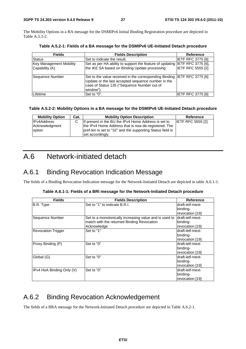The Mobility Options in a BA message for the DSMIPv6 Initial Binding Registration procedure are depicted in Table A.5.2-2.

| <b>Fields</b>                                    | <b>Fields Description</b>                                                                                                                                                                   | <b>Reference</b>         |
|--------------------------------------------------|---------------------------------------------------------------------------------------------------------------------------------------------------------------------------------------------|--------------------------|
| <b>Status</b>                                    | Set to indicate the result.                                                                                                                                                                 | <b>IETF RFC 3775 [6]</b> |
| <b>Key Management Mobility</b><br>Capability (K) | Set as per HA ability to support the feature of updating IETF RFC 3775 [6],<br>the IKE SA based on Binding Update processing                                                                | <b>IETF RFC 5555 [2]</b> |
| Sequence Number                                  | Set to the value received in the corresponding Binding IIETF RFC 3775 [6]<br>Update or the last accepted sequence number in the<br>case of Status 135 ("Sequence Number out of<br>window"). |                          |
| Lifetime                                         | Set to "0".                                                                                                                                                                                 | IETF RFC 3775 [6]        |

**Table A.5.2-1: Fields of a BA message for the DSMIPv6 UE-Initiated Detach procedure** 

#### **Table A.5.2-2: Mobility Options in a BA message for the DSMIPv6 UE-Initiated Detach procedure**

| <b>Mobility Option</b>   | Cat. | <b>Mobility Option Description</b>                                                                                 | Reference                |
|--------------------------|------|--------------------------------------------------------------------------------------------------------------------|--------------------------|
| <b>IPv4Address</b>       |      | If present in the BU the IPv4 Home Address is set to                                                               | <b>IETF RFC 5555 [2]</b> |
| Acknowledgment<br>option |      | the IPv4 Home Address that is now de-registered. The<br>pref-len is set to "32" and the supporting Status field is |                          |
|                          |      | set accordingly.                                                                                                   |                          |

### A.6 Network-initiated detach

### A.6.1 Binding Revocation Indication Message

The fields of a Binding Revocation Indication message for the Network-Initiated Detach are depicted in table A.6.1-1.

|  |  | Table A.6.1-1: Fields of a BRI message for the Network-Initiated Detach procedure |
|--|--|-----------------------------------------------------------------------------------|
|  |  |                                                                                   |

| <b>Fields</b>             | <b>Fields Description</b>                              | <b>Reference</b> |
|---------------------------|--------------------------------------------------------|------------------|
| B.R. Type                 | Set to "1" to indicate B.R.I.                          | draft-ietf-mext- |
|                           |                                                        | binding-         |
|                           |                                                        | revocation [19]  |
| Sequence Number           | Set to a monotonically increasing value and is used to | draft-ietf-mext- |
|                           | match with the returned Binding Revocation             | binding-         |
|                           | Acknowledge                                            | revocation [19]  |
| <b>Revocation Trigger</b> | Set to "1"                                             | draft-ietf-mext- |
|                           |                                                        | binding-         |
|                           |                                                        | revocation [19]  |
| Proxy Binding (P)         | Set to "0"                                             | draft-ietf-mext- |
|                           |                                                        | binding-         |
|                           |                                                        | revocation [19]  |
| Global (G)                | Set to "0"                                             | draft-ietf-mext- |
|                           |                                                        | binding-         |
|                           |                                                        | revocation [19]  |
| IPv4 HoA Binding Only (V) | Set to "0"                                             | draft-ietf-mext- |
|                           |                                                        | binding-         |
|                           |                                                        | revocation [19]  |

### A.6.2 Binding Revocation Acknowledgement

The fields of a BRA message for the Network-Initiated Detach procedure are depicted in Table A.6.2-1.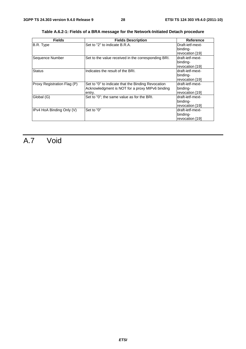| <b>Fields</b>               | <b>Fields Description</b>                                                                                       | <b>Reference</b>                                 |
|-----------------------------|-----------------------------------------------------------------------------------------------------------------|--------------------------------------------------|
| B.R. Type                   | Set to "2" to indicate B.R.A.                                                                                   | Draft-ietf-mext-<br>binding-                     |
|                             |                                                                                                                 | revocation [19]                                  |
| Sequence Number             | Set to the value received in the corresponding BRI.                                                             | draft-ietf-mext-<br>binding-<br>revocation [19]  |
| <b>Status</b>               | Indicates the result of the BRI.                                                                                | ldraft-ietf-mext-<br>binding-<br>revocation [19] |
| Proxy Registration Flag (P) | Set to "0" to indicate that the Binding Revocation<br>Acknowledgment is NOT for a proxy MIPv6 binding<br>entry. | draft-ietf-mext-<br>binding-<br>revocation [19]  |
| Global (G)                  | Set to "0"; the same value as for the BRI.                                                                      | draft-ietf-mext-<br>binding-<br>revocation [19]  |
| IPv4 HoA Binding Only (V)   | Set to "0"                                                                                                      | draft-ietf-mext-<br>binding-<br>revocation [19]  |

**Table A.6.2-1: Fields of a BRA message for the Network-Initiated Detach procedure** 

## A.7 Void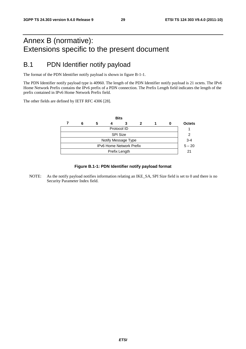### Annex B (normative): Extensions specific to the present document

### B.1 PDN Identifier notify payload

The format of the PDN Identifier notify payload is shown in figure B-1-1.

The PDN Identifier notify payload type is 40960. The length of the PDN Identifier notify payload is 21 octets. The IPv6 Home Network Prefix contains the IPv6 prefix of a PDN connection. The Prefix Length field indicates the length of the prefix contained in IPv6 Home Network Prefix field.

The other fields are defined by IETF RFC 4306 [28].



#### **Figure B.1-1: PDN Identifier notify payload format**

NOTE: As the notify payload notifies information relating an IKE\_SA, SPI Size field is set to 0 and there is no Security Parameter Index field.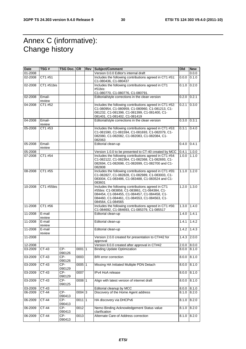### Annex C (informative): Change history

| <b>Date</b> | TSG #            | TSG Doc. CR   |          | Rev | Subject/Comment                                                                                                                                                                                                         | Old   | <b>New</b> |
|-------------|------------------|---------------|----------|-----|-------------------------------------------------------------------------------------------------------------------------------------------------------------------------------------------------------------------------|-------|------------|
| 01-2008     |                  |               |          |     | Version 0.0.0 Editor's internal draft                                                                                                                                                                                   |       | 0.0.0      |
| 02-2008     | CT1 #51          |               |          |     | Includes the following contributions agreed in CT1 #51:<br>C1-080436, C1-080437                                                                                                                                         | 0.0.0 | 0.1.0      |
| 02-2008     | CT1 #51bis       |               |          |     | Includes the following contributions agreed in CT1<br>#51bis:                                                                                                                                                           | 0.1.0 | 0.2.0      |
|             |                  |               |          |     | C1-080770, C1-080776, C1-080791.                                                                                                                                                                                        |       |            |
| 02-2008     | Email-<br>review |               |          |     | Editorial/style corrections in the clean version                                                                                                                                                                        | 0.2.0 | 0.2.1      |
| 04-2008     | CT1 #52          |               |          |     | Includes the following contributions agreed in CT1 #52:<br>C1-080954, C1-080959, C1-080960, C1-081213, C1-<br>081232, C1-081398, C1-081399, C1-081400, C1-<br>081401, C1-081402, C1-081419                              | 0.2.1 | 0.3.0      |
| 04-2008     | Email-<br>review |               |          |     | Editorial/style corrections in the clean version                                                                                                                                                                        | 0.3.0 | 0.3.1      |
| 05-2008     | CT1 #53          |               |          |     | Includes the following contributions agreed in CT1 #53:<br>C1-081590, C1-081594, C1-081693, C1-082079, C1-<br>082080, C1-082082, C1-082083, C1-082084, C1-<br>082063                                                    | 0.3.1 | 0.4.0      |
| 05-2008     | Email-<br>review |               |          |     | Editorial clean-up                                                                                                                                                                                                      | 0.4.0 | 0.4.1      |
| 05-2008     |                  |               |          |     | Version 1.0.0 to be presented to CT-40 created by MCC                                                                                                                                                                   | 0.4.1 | 1.0.0      |
| 07-2008     | CT1 #54          |               |          |     | Includes the following contributions agreed in CT1 #54:<br>C1-082122, C1-082364, C1-082368, C1-082693, C1-<br>082694, C1-082698, C1-082699, C1-082700 and C1-<br>082808                                                 | 1.0.0 | 1.1.0      |
| 08-2008     | CT1 #55          |               |          |     | Includes the following contributions agreed in CT1 #55:<br>C1-082827, C1-082828, C1-082989, C1-083003, C1-<br>083004, C1-083486, C1-083488, C1-083524 and C1-<br>083601                                                 | 1.1.0 | 1.2.0      |
| 10-2008     | CT1 #55bis       |               |          |     | Includes the following contributions agreed in CT1<br>#55bis: C1-083858, C1-083861, C1-084384, C1-<br>084454, C1-084455, C1-084457, C1-084458, C1-<br>084460, C1-084461, C1-084553, C1-084563, C1-<br>084564, C1-084565 | 1.2.0 | 1.3.0      |
| 11-2008     | CT1 #56          |               |          |     | Includes the following contributions agreed in CT1 #56:<br>C1-084692, C1-084693, C1-085379, C1-085517                                                                                                                   | 1.3.0 | 1.4.0      |
| 11-2008     | E-mail<br>review |               |          |     | Editorial clean-up                                                                                                                                                                                                      | 1.4.0 | 1.4.1      |
| 11-2008     | E-mail<br>review |               |          |     | Editorial clean-up                                                                                                                                                                                                      | 1.4.1 | 1.4.2      |
| 11-2008     | E-mail<br>review |               |          |     | Editorial clean-up                                                                                                                                                                                                      | 1.4.2 | 1.4.3      |
| 11-2008     |                  |               |          |     | Version 2.0.0 created for presentation to CT#42 for<br>approval                                                                                                                                                         | 1.4.3 | 2.0.0      |
| 12-2008     |                  |               |          |     | Version 8.0.0 created after approval in CT#42                                                                                                                                                                           | 2.0.0 | 8.0.0      |
| 03-2009     | CT-43            | CP-<br>090126 | 00011    |     | <b>Binding Update Optimization</b>                                                                                                                                                                                      | 8.0.0 | 8.1.0      |
| 03-2009     | $CT-43$          | CP-<br>090126 | 0003     |     | <b>BRI</b> error correction                                                                                                                                                                                             | 8.0.0 | 8.1.0      |
| 03-2009     | CT-43            | CP-<br>090129 | $0005$ 1 |     | Missing HA Initiated Multiple PDN Detach                                                                                                                                                                                | 8.0.0 | 8.1.0      |
| 03-2009     | CT-43            | CP-<br>090129 | 0007     |     | IPv4 HoA release                                                                                                                                                                                                        | 8.0.0 | 8.1.0      |
| 03-2009     | $CT-43$          | CP-<br>090125 | 0008 1   |     | Align with latest version of internet draft                                                                                                                                                                             | 8.0.0 | 8.1.0      |
| 03-2009     | CT-43            |               |          |     | Editorial cleanup by MCC                                                                                                                                                                                                | 8.0.0 | 8.1.0      |
| 06-2009     | CT-44            | CP-<br>090413 | $0004$ 3 |     | Discovery of the Home Agent address                                                                                                                                                                                     | 8.1.0 | 8.2.0      |
| 06-2009     | CT-44            | CP-<br>090413 | 0011 1   |     | HA discovery via DHCPv6                                                                                                                                                                                                 | 8.1.0 | 8.2.0      |
| 06-2009     | CT-44            | CP-<br>090413 | 0012     |     | Nemo Binding Acknowledgement Status value<br>clarification                                                                                                                                                              | 8.1.0 | 8.2.0      |
| 06-2009     | $CT-44$          | CP-<br>090413 | 0013     |     | Alternate Care-of Address correction                                                                                                                                                                                    | 8.1.0 | 8.2.0      |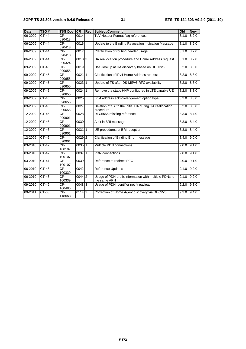| <b>Date</b> | TSG#         | <b>TSG Doc. CR</b> |                     | Rev | Subject/Comment                                                       | Old   | <b>New</b> |
|-------------|--------------|--------------------|---------------------|-----|-----------------------------------------------------------------------|-------|------------|
| 06-2009     | <b>CT-44</b> | CP-<br>090413      | 0014                |     | TLV Header Format flag references                                     | 8.1.0 | 8.2.0      |
| 06-2009     | $CT-44$      | $CP-$<br>090413    | 0016                |     | Update to the Binding Revocation Indication Message<br>8.1.0          |       | 8.2.0      |
| 06-2009     | $CT-44$      | $CP-$<br>090413    | 0017                |     | Clarification of routing header usage                                 | 8.1.0 | 8.2.0      |
| 06-2009     | $CT-44$      | CP-<br>090324      | $0018$ <sub>3</sub> |     | HA reallocation procedure and Home Address request                    | 8.1.0 | 8.2.0      |
| 09-2009     | <b>CT-45</b> | CP-<br>090655      | 0019                |     | DNS lookup at HA discovery based on DHCPv6                            | 8.2.0 | 8.3.0      |
| 09-2009     | $CT-45$      | $CP-$<br>090655    | 002111              |     | Clarification of IPv4 Home Address request                            | 8.2.0 | 8.3.0      |
| 09-2009     | $CT-45$      | CP-<br>090655      | $0023$ 1            |     | Update of TS after DS-MIPv6 RFC availability                          | 8.2.0 | 8.3.0      |
| 09-2009     | $CT-45$      | $CP-$<br>090655    | $0024$ 1            |     | Remove the static HNP configured in LTE capable UE                    | 8.2.0 | 8.3.0      |
| 09-2009     | $CT-45$      | CP-<br>090655      | 0025                |     | IPv4 address acknowledgement option type                              | 8.2.0 | 8.3.0      |
| 09-2009     | $CT-45$      | CP-<br>090655      | 0027                |     | Deletion of SA to the initial HA during HA reallocation<br>procedure  | 8.2.0 | 8.3.0      |
| 12-2009     | $CT-46$      | $CP-$<br>090901    | 0028                |     | RFC5555 missing reference                                             | 8.3.0 | 8.4.0      |
| 12-2009     | $CT-46$      | $CP-$<br>090901    | 0030                |     | A bit in BRI message                                                  | 8.3.0 | 8.4.0      |
| 12-2009     | $CT-46$      | $CP-$<br>090901    | 003111              |     | UE procedures at BRI reception                                        | 8.3.0 | 8.4.0      |
| 12-2009     | $CT-46$      | $CP-$<br>090901    | $0029$ 2            |     | Clarification of Binding Error message                                | 8.4.0 | 9.0.0      |
| 03-2010     | $CT-47$      | $CP-$<br>100107    | $0035$ 1            |     | Multiple PDN connections                                              | 9.0.0 | 9.1.0      |
| 03-2010     | $CT-47$      | $CP-$<br>100107    | 003711              |     | <b>PDN</b> connections                                                | 9.0.0 | 9.1.0      |
| 03-2010     | <b>CT-47</b> | $CP-$<br>100107    | 0039                |     | Reference to redirect RFC                                             | 9.0.0 | 9.1.0      |
| 06-2010     | $CT-48$      | CP-<br>100339      | 0042                |     | Reference Updates                                                     | 9.1.0 | 9.2.0      |
| 06-2010     | $CT-48$      | $CP-$<br>100339    | $0044$ 2            |     | Usage of PDN prefix information with multiple PDNs to<br>the same APN | 9.1.0 | 9.2.0      |
| 09-2010     | $CT-49$      | $CP-$<br>100485    | $0048$ 3            |     | Usage of PDN Identifier notify payload                                | 9.2.0 | 9.3.0      |
| 09-2011     | $CT-53$      | $CP-$<br>110660    | $011\overline{4}$ 2 |     | Correction of Home Agent discovery via DHCPv6                         | 9.3.0 | 9.4.0      |